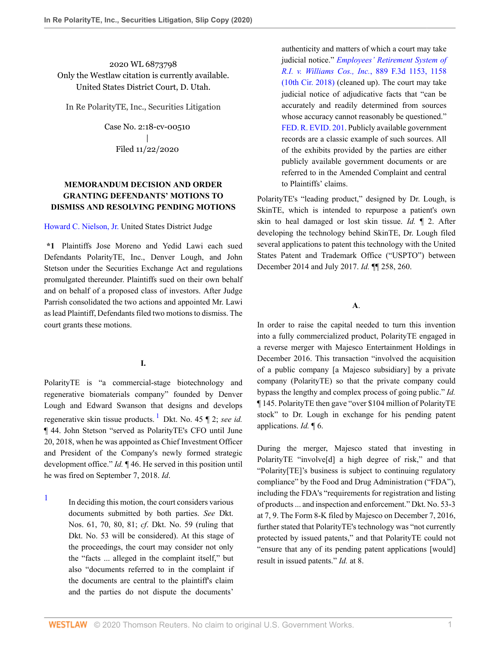2020 WL 6873798 Only the Westlaw citation is currently available. United States District Court, D. Utah.

In Re PolarityTE, Inc., Securities Litigation

Case No. 2:18-cv-00510 | Filed 11/22/2020

# **MEMORANDUM DECISION AND ORDER GRANTING DEFENDANTS' MOTIONS TO DISMISS AND RESOLVING PENDING MOTIONS**

#### [Howard C. Nielson, Jr.](http://www.westlaw.com/Link/Document/FullText?findType=h&pubNum=176284&cite=0515913801&originatingDoc=Id6e0c9e02e4111ebb8aed9085e1cb667&refType=RQ&originationContext=document&vr=3.0&rs=cblt1.0&transitionType=DocumentItem&contextData=(sc.Search)) United States District Judge

**\*1** Plaintiffs Jose Moreno and Yedid Lawi each sued Defendants PolarityTE, Inc., Denver Lough, and John Stetson under the Securities Exchange Act and regulations promulgated thereunder. Plaintiffs sued on their own behalf and on behalf of a proposed class of investors. After Judge Parrish consolidated the two actions and appointed Mr. Lawi as lead Plaintiff, Defendants filed two motions to dismiss. The court grants these motions.

## <span id="page-0-1"></span>**I.**

PolarityTE is "a commercial-stage biotechnology and regenerative biomaterials company" founded by Denver Lough and Edward Swanson that designs and develops regenerative skin tissue products. [1](#page-0-0) Dkt. No. 45 ¶ 2; *see id.* ¶ 44. John Stetson "served as PolarityTE's CFO until June 20, 2018, when he was appointed as Chief Investment Officer and President of the Company's newly formed strategic development office." *Id.* ¶ 46. He served in this position until he was fired on September 7, 2018. *Id*.

<span id="page-0-0"></span>[1](#page-0-1) In deciding this motion, the court considers various documents submitted by both parties. *See* Dkt. Nos. 61, 70, 80, 81; *cf*. Dkt. No. 59 (ruling that Dkt. No. 53 will be considered). At this stage of the proceedings, the court may consider not only the "facts ... alleged in the complaint itself," but also "documents referred to in the complaint if the documents are central to the plaintiff's claim and the parties do not dispute the documents'

authenticity and matters of which a court may take judicial notice." *[Employees' Retirement System of](http://www.westlaw.com/Link/Document/FullText?findType=Y&serNum=2044509516&pubNum=0000506&originatingDoc=Id6e0c9e02e4111ebb8aed9085e1cb667&refType=RP&fi=co_pp_sp_506_1158&originationContext=document&vr=3.0&rs=cblt1.0&transitionType=DocumentItem&contextData=(sc.Search)#co_pp_sp_506_1158) [R.I. v. Williams Cos., Inc.](http://www.westlaw.com/Link/Document/FullText?findType=Y&serNum=2044509516&pubNum=0000506&originatingDoc=Id6e0c9e02e4111ebb8aed9085e1cb667&refType=RP&fi=co_pp_sp_506_1158&originationContext=document&vr=3.0&rs=cblt1.0&transitionType=DocumentItem&contextData=(sc.Search)#co_pp_sp_506_1158)*, 889 F.3d 1153, 1158 [\(10th Cir. 2018\)](http://www.westlaw.com/Link/Document/FullText?findType=Y&serNum=2044509516&pubNum=0000506&originatingDoc=Id6e0c9e02e4111ebb8aed9085e1cb667&refType=RP&fi=co_pp_sp_506_1158&originationContext=document&vr=3.0&rs=cblt1.0&transitionType=DocumentItem&contextData=(sc.Search)#co_pp_sp_506_1158) (cleaned up). The court may take judicial notice of adjudicative facts that "can be accurately and readily determined from sources whose accuracy cannot reasonably be questioned." [FED. R. EVID. 201](http://www.westlaw.com/Link/Document/FullText?findType=L&pubNum=1000607&cite=USFRER201&originatingDoc=Id6e0c9e02e4111ebb8aed9085e1cb667&refType=LQ&originationContext=document&vr=3.0&rs=cblt1.0&transitionType=DocumentItem&contextData=(sc.Search)). Publicly available government records are a classic example of such sources. All of the exhibits provided by the parties are either publicly available government documents or are referred to in the Amended Complaint and central to Plaintiffs' claims.

PolarityTE's "leading product," designed by Dr. Lough, is SkinTE, which is intended to repurpose a patient's own skin to heal damaged or lost skin tissue. *Id.* ¶ 2. After developing the technology behind SkinTE, Dr. Lough filed several applications to patent this technology with the United States Patent and Trademark Office ("USPTO") between December 2014 and July 2017. *Id.* ¶¶ 258, 260.

#### **A**.

In order to raise the capital needed to turn this invention into a fully commercialized product, PolarityTE engaged in a reverse merger with Majesco Entertainment Holdings in December 2016. This transaction "involved the acquisition of a public company [a Majesco subsidiary] by a private company (PolarityTE) so that the private company could bypass the lengthy and complex process of going public." *Id.* ¶ 145. PolarityTE then gave "over \$104 million of PolarityTE stock" to Dr. Lough in exchange for his pending patent applications. *Id.* ¶ 6.

During the merger, Majesco stated that investing in PolarityTE "involve[d] a high degree of risk," and that "Polarity[TE]'s business is subject to continuing regulatory compliance" by the Food and Drug Administration ("FDA"), including the FDA's "requirements for registration and listing of products ... and inspection and enforcement." Dkt. No. 53-3 at 7, 9. The Form 8-K filed by Majesco on December 7, 2016, further stated that PolarityTE's technology was "not currently protected by issued patents," and that PolarityTE could not "ensure that any of its pending patent applications [would] result in issued patents." *Id.* at 8.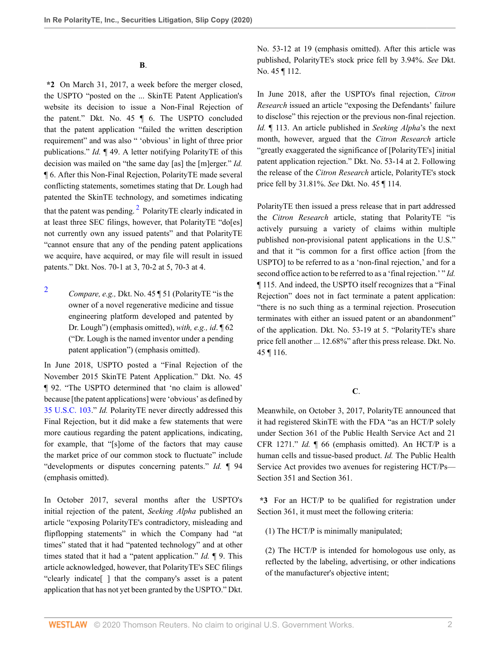**B**.

**\*2** On March 31, 2017, a week before the merger closed, the USPTO "posted on the ... SkinTE Patent Application's website its decision to issue a Non-Final Rejection of the patent." Dkt. No. 45 ¶ 6. The USPTO concluded that the patent application "failed the written description requirement" and was also " 'obvious' in light of three prior publications." *Id.* 149. A letter notifying PolarityTE of this decision was mailed on "the same day [as] the [m]erger." *Id.* ¶ 6. After this Non-Final Rejection, PolarityTE made several conflicting statements, sometimes stating that Dr. Lough had patented the SkinTE technology, and sometimes indicating that the patent was pending.<sup>[2](#page-1-0)</sup> PolarityTE clearly indicated in at least three SEC filings, however, that PolarityTE "do[es] not currently own any issued patents" and that PolarityTE "cannot ensure that any of the pending patent applications we acquire, have acquired, or may file will result in issued patents." Dkt. Nos. 70-1 at 3, 70-2 at 5, 70-3 at 4.

<span id="page-1-0"></span>[2](#page-1-1) *Compare, e.g.,* Dkt. No. 45 ¶ 51 (PolarityTE "is the owner of a novel regenerative medicine and tissue engineering platform developed and patented by Dr. Lough") (emphasis omitted), *with, e.g., id*. ¶ 62 ("Dr. Lough is the named inventor under a pending patent application") (emphasis omitted).

In June 2018, USPTO posted a "Final Rejection of the November 2015 SkinTE Patent Application." Dkt. No. 45 ¶ 92. "The USPTO determined that 'no claim is allowed' because [the patent applications] were 'obvious' as defined by [35 U.S.C. 103.](http://www.westlaw.com/Link/Document/FullText?findType=L&pubNum=1000546&cite=35USCAS103&originatingDoc=Id6e0c9e02e4111ebb8aed9085e1cb667&refType=LQ&originationContext=document&vr=3.0&rs=cblt1.0&transitionType=DocumentItem&contextData=(sc.Search))" *Id.* PolarityTE never directly addressed this Final Rejection, but it did make a few statements that were more cautious regarding the patent applications, indicating, for example, that "[s]ome of the factors that may cause the market price of our common stock to fluctuate" include "developments or disputes concerning patents." *Id.* ¶ 94 (emphasis omitted).

In October 2017, several months after the USPTO's initial rejection of the patent, *Seeking Alpha* published an article "exposing PolarityTE's contradictory, misleading and flipflopping statements" in which the Company had "at times" stated that it had "patented technology" and at other times stated that it had a "patent application." *Id.* ¶ 9. This article acknowledged, however, that PolarityTE's SEC filings "clearly indicate[ ] that the company's asset is a patent application that has not yet been granted by the USPTO." Dkt. No. 53-12 at 19 (emphasis omitted). After this article was published, PolarityTE's stock price fell by 3.94%. *See* Dkt. No. 45 ¶ 112.

In June 2018, after the USPTO's final rejection, *Citron Research* issued an article "exposing the Defendants' failure to disclose" this rejection or the previous non-final rejection. *Id.* ¶ 113. An article published in *Seeking Alpha*'s the next month, however, argued that the *Citron Research* article "greatly exaggerated the significance of [PolarityTE's] initial patent application rejection." Dkt. No. 53-14 at 2. Following the release of the *Citron Research* article, PolarityTE's stock price fell by 31.81%. *See* Dkt. No. 45 ¶ 114.

<span id="page-1-1"></span>PolarityTE then issued a press release that in part addressed the *Citron Research* article, stating that PolarityTE "is actively pursuing a variety of claims within multiple published non-provisional patent applications in the U.S." and that it "is common for a first office action [from the USPTO] to be referred to as a 'non-final rejection,' and for a second office action to be referred to as a 'final rejection.' " *Id.* ¶ 115. And indeed, the USPTO itself recognizes that a "Final Rejection" does not in fact terminate a patent application: "there is no such thing as a terminal rejection. Prosecution terminates with either an issued patent or an abandonment" of the application. Dkt. No. 53-19 at 5. "PolarityTE's share price fell another ... 12.68%" after this press release. Dkt. No. 45 ¶ 116.

**C**.

Meanwhile, on October 3, 2017, PolarityTE announced that it had registered SkinTE with the FDA "as an HCT/P solely under Section 361 of the Public Health Service Act and 21 CFR 1271." *Id.* ¶ 66 (emphasis omitted). An HCT/P is a human cells and tissue-based product. *Id.* The Public Health Service Act provides two avenues for registering HCT/Ps— Section 351 and Section 361.

**\*3** For an HCT/P to be qualified for registration under Section 361, it must meet the following criteria:

(1) The HCT/P is minimally manipulated;

(2) The HCT/P is intended for homologous use only, as reflected by the labeling, advertising, or other indications of the manufacturer's objective intent;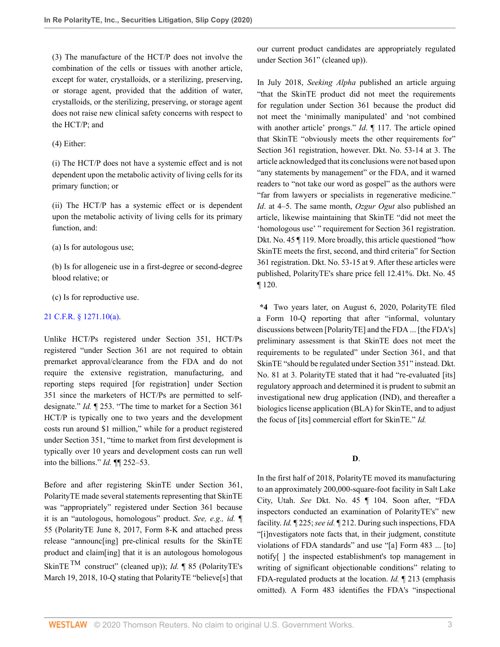(3) The manufacture of the HCT/P does not involve the combination of the cells or tissues with another article, except for water, crystalloids, or a sterilizing, preserving, or storage agent, provided that the addition of water, crystalloids, or the sterilizing, preserving, or storage agent does not raise new clinical safety concerns with respect to the HCT/P; and

(4) Either:

(i) The HCT/P does not have a systemic effect and is not dependent upon the metabolic activity of living cells for its primary function; or

(ii) The HCT/P has a systemic effect or is dependent upon the metabolic activity of living cells for its primary function, and:

(a) Is for autologous use;

(b) Is for allogeneic use in a first-degree or second-degree blood relative; or

(c) Is for reproductive use.

#### [21 C.F.R. § 1271.10\(a\).](http://www.westlaw.com/Link/Document/FullText?findType=L&pubNum=1000547&cite=21CFRS1271.10&originatingDoc=Id6e0c9e02e4111ebb8aed9085e1cb667&refType=RB&originationContext=document&vr=3.0&rs=cblt1.0&transitionType=DocumentItem&contextData=(sc.Search)#co_pp_8b3b0000958a4)

Unlike HCT/Ps registered under Section 351, HCT/Ps registered "under Section 361 are not required to obtain premarket approval/clearance from the FDA and do not require the extensive registration, manufacturing, and reporting steps required [for registration] under Section 351 since the marketers of HCT/Ps are permitted to selfdesignate." *Id.* ¶ 253. "The time to market for a Section 361 HCT/P is typically one to two years and the development costs run around \$1 million," while for a product registered under Section 351, "time to market from first development is typically over 10 years and development costs can run well into the billions." *Id.* ¶¶ 252–53.

Before and after registering SkinTE under Section 361, PolarityTE made several statements representing that SkinTE was "appropriately" registered under Section 361 because it is an "autologous, homologous" product. *See, e.g., id.* ¶ 55 (PolarityTE June 8, 2017, Form 8-K and attached press release "announc[ing] pre-clinical results for the SkinTE product and claim[ing] that it is an autologous homologous SkinTE TM construct" (cleaned up)); *Id.* ¶ 85 (PolarityTE's March 19, 2018, 10-Q stating that PolarityTE "believe[s] that our current product candidates are appropriately regulated under Section 361" (cleaned up)).

In July 2018, *Seeking Alpha* published an article arguing "that the SkinTE product did not meet the requirements for regulation under Section 361 because the product did not meet the 'minimally manipulated' and 'not combined with another article' prongs." *Id*. ¶ 117. The article opined that SkinTE "obviously meets the other requirements for" Section 361 registration, however. Dkt. No. 53-14 at 3. The article acknowledged that its conclusions were not based upon "any statements by management" or the FDA, and it warned readers to "not take our word as gospel" as the authors were "far from lawyers or specialists in regenerative medicine." *Id*. at 4–5. The same month, *Ozgur Ogut* also published an article, likewise maintaining that SkinTE "did not meet the 'homologous use' " requirement for Section 361 registration. Dkt. No. 45 ¶ 119. More broadly, this article questioned "how SkinTE meets the first, second, and third criteria" for Section 361 registration. Dkt. No. 53-15 at 9. After these articles were published, PolarityTE's share price fell 12.41%. Dkt. No. 45 ¶ 120.

**\*4** Two years later, on August 6, 2020, PolarityTE filed a Form 10-Q reporting that after "informal, voluntary discussions between [PolarityTE] and the FDA ... [the FDA's] preliminary assessment is that SkinTE does not meet the requirements to be regulated" under Section 361, and that SkinTE "should be regulated under Section 351" instead. Dkt. No. 81 at 3. PolarityTE stated that it had "re-evaluated [its] regulatory approach and determined it is prudent to submit an investigational new drug application (IND), and thereafter a biologics license application (BLA) for SkinTE, and to adjust the focus of [its] commercial effort for SkinTE." *Id.*

## **D**.

In the first half of 2018, PolarityTE moved its manufacturing to an approximately 200,000-square-foot facility in Salt Lake City, Utah. *See* Dkt. No. 45 ¶ 104. Soon after, "FDA inspectors conducted an examination of PolarityTE's" new facility. *Id.* ¶ 225; *see id.* ¶ 212. During such inspections, FDA "[i]nvestigators note facts that, in their judgment, constitute violations of FDA standards" and use "[a] Form 483 ... [to] notify[ ] the inspected establishment's top management in writing of significant objectionable conditions" relating to FDA-regulated products at the location. *Id.* ¶ 213 (emphasis omitted). A Form 483 identifies the FDA's "inspectional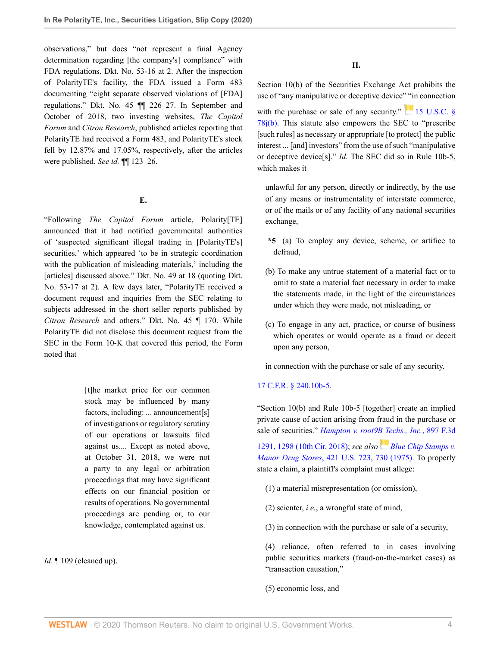observations," but does "not represent a final Agency determination regarding [the company's] compliance" with FDA regulations. Dkt. No. 53-16 at 2. After the inspection of PolarityTE's facility, the FDA issued a Form 483 documenting "eight separate observed violations of [FDA] regulations." Dkt. No. 45 ¶¶ 226–27. In September and October of 2018, two investing websites, *The Capitol Forum* and *Citron Research*, published articles reporting that PolarityTE had received a Form 483, and PolarityTE's stock fell by 12.87% and 17.05%, respectively, after the articles were published. *See id.* ¶¶ 123–26.

#### **E.**

"Following *The Capitol Forum* article, Polarity[TE] announced that it had notified governmental authorities of 'suspected significant illegal trading in [PolarityTE's] securities,' which appeared 'to be in strategic coordination with the publication of misleading materials,' including the [articles] discussed above." Dkt. No. 49 at 18 (quoting Dkt. No. 53-17 at 2). A few days later, "PolarityTE received a document request and inquiries from the SEC relating to subjects addressed in the short seller reports published by *Citron Research* and others." Dkt. No. 45 ¶ 170. While PolarityTE did not disclose this document request from the SEC in the Form 10-K that covered this period, the Form noted that

> [t]he market price for our common stock may be influenced by many factors, including: ... announcement[s] of investigations or regulatory scrutiny of our operations or lawsuits filed against us.... Except as noted above, at October 31, 2018, we were not a party to any legal or arbitration proceedings that may have significant effects on our financial position or results of operations. No governmental proceedings are pending or, to our knowledge, contemplated against us.

*Id*. ¶ 109 (cleaned up).

**II.**

Section 10(b) of the Securities Exchange Act prohibits the use of "any manipulative or deceptive device" "in connection with the purchase or sale of any security."  $\frac{15 \text{ U.S.C. } 8}{\text{ U.S.C. } 8}$ [78j\(b\)](http://www.westlaw.com/Link/Document/FullText?findType=L&pubNum=1000546&cite=15USCAS78J&originatingDoc=Id6e0c9e02e4111ebb8aed9085e1cb667&refType=RB&originationContext=document&vr=3.0&rs=cblt1.0&transitionType=DocumentItem&contextData=(sc.Search)#co_pp_a83b000018c76). This statute also empowers the SEC to "prescribe [such rules] as necessary or appropriate [to protect] the public interest ... [and] investors" from the use of such "manipulative or deceptive device[s]." *Id.* The SEC did so in Rule 10b-5, which makes it

unlawful for any person, directly or indirectly, by the use of any means or instrumentality of interstate commerce, or of the mails or of any facility of any national securities exchange,

- **\*5** (a) To employ any device, scheme, or artifice to defraud,
- (b) To make any untrue statement of a material fact or to omit to state a material fact necessary in order to make the statements made, in the light of the circumstances under which they were made, not misleading, or
- (c) To engage in any act, practice, or course of business which operates or would operate as a fraud or deceit upon any person,

in connection with the purchase or sale of any security.

#### [17 C.F.R. § 240.10b-5.](http://www.westlaw.com/Link/Document/FullText?findType=L&pubNum=1000547&cite=17CFRS240.10B-5&originatingDoc=Id6e0c9e02e4111ebb8aed9085e1cb667&refType=LQ&originationContext=document&vr=3.0&rs=cblt1.0&transitionType=DocumentItem&contextData=(sc.Search))

"Section 10(b) and Rule 10b-5 [together] create an implied private cause of action arising from fraud in the purchase or sale of securities." *[Hampton v. root9B Techs., Inc.](http://www.westlaw.com/Link/Document/FullText?findType=Y&serNum=2045151247&pubNum=0000506&originatingDoc=Id6e0c9e02e4111ebb8aed9085e1cb667&refType=RP&fi=co_pp_sp_506_1298&originationContext=document&vr=3.0&rs=cblt1.0&transitionType=DocumentItem&contextData=(sc.Search)#co_pp_sp_506_1298)*, 897 F.3d

[1291, 1298 \(10th Cir. 2018\)](http://www.westlaw.com/Link/Document/FullText?findType=Y&serNum=2045151247&pubNum=0000506&originatingDoc=Id6e0c9e02e4111ebb8aed9085e1cb667&refType=RP&fi=co_pp_sp_506_1298&originationContext=document&vr=3.0&rs=cblt1.0&transitionType=DocumentItem&contextData=(sc.Search)#co_pp_sp_506_1298); *see also[Blue Chip Stamps v.](http://www.westlaw.com/Link/Document/FullText?findType=Y&serNum=1975129803&pubNum=0000780&originatingDoc=Id6e0c9e02e4111ebb8aed9085e1cb667&refType=RP&fi=co_pp_sp_780_730&originationContext=document&vr=3.0&rs=cblt1.0&transitionType=DocumentItem&contextData=(sc.Search)#co_pp_sp_780_730) Manor Drug Stores*[, 421 U.S. 723, 730 \(1975\).](http://www.westlaw.com/Link/Document/FullText?findType=Y&serNum=1975129803&pubNum=0000780&originatingDoc=Id6e0c9e02e4111ebb8aed9085e1cb667&refType=RP&fi=co_pp_sp_780_730&originationContext=document&vr=3.0&rs=cblt1.0&transitionType=DocumentItem&contextData=(sc.Search)#co_pp_sp_780_730) To properly state a claim, a plaintiff's complaint must allege:

(1) a material misrepresentation (or omission),

(2) scienter, *i.e.*, a wrongful state of mind,

(3) in connection with the purchase or sale of a security,

(4) reliance, often referred to in cases involving public securities markets (fraud-on-the-market cases) as "transaction causation,"

(5) economic loss, and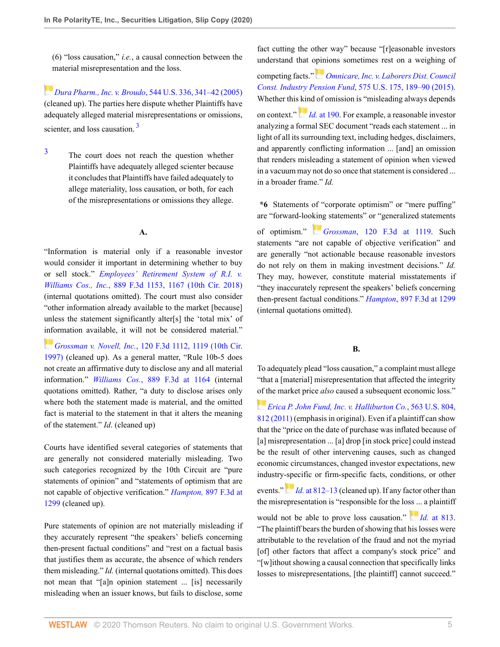(6) "loss causation," *i.e.*, a causal connection between the material misrepresentation and the loss.

*[D](https://1.next.westlaw.com/Link/RelatedInformation/Flag?documentGuid=I9a6b7fd0b03211d9a707f4371c9c34f0&transitionType=InlineKeyCiteFlags&originationContext=docHeaderFlag&Rank=0&contextData=(sc.Search) )ura Pharm., Inc. v. Broudo*[, 544 U.S. 336, 341–42 \(2005\)](http://www.westlaw.com/Link/Document/FullText?findType=Y&serNum=2006478482&pubNum=0000780&originatingDoc=Id6e0c9e02e4111ebb8aed9085e1cb667&refType=RP&fi=co_pp_sp_780_341&originationContext=document&vr=3.0&rs=cblt1.0&transitionType=DocumentItem&contextData=(sc.Search)#co_pp_sp_780_341) (cleaned up). The parties here dispute whether Plaintiffs have adequately alleged material misrepresentations or omissions, scienter, and loss causation.<sup>[3](#page-4-0)</sup>

<span id="page-4-1"></span><span id="page-4-0"></span>[3](#page-4-1) The court does not reach the question whether Plaintiffs have adequately alleged scienter because it concludes that Plaintiffs have failed adequately to allege materiality, loss causation, or both, for each of the misrepresentations or omissions they allege.

#### **A.**

"Information is material only if a reasonable investor would consider it important in determining whether to buy or sell stock." *[Employees' Retirement System of R.I. v.](http://www.westlaw.com/Link/Document/FullText?findType=Y&serNum=2044509516&pubNum=0000506&originatingDoc=Id6e0c9e02e4111ebb8aed9085e1cb667&refType=RP&fi=co_pp_sp_506_1167&originationContext=document&vr=3.0&rs=cblt1.0&transitionType=DocumentItem&contextData=(sc.Search)#co_pp_sp_506_1167) Williams Cos., Inc.*[, 889 F.3d 1153, 1167 \(10th Cir. 2018\)](http://www.westlaw.com/Link/Document/FullText?findType=Y&serNum=2044509516&pubNum=0000506&originatingDoc=Id6e0c9e02e4111ebb8aed9085e1cb667&refType=RP&fi=co_pp_sp_506_1167&originationContext=document&vr=3.0&rs=cblt1.0&transitionType=DocumentItem&contextData=(sc.Search)#co_pp_sp_506_1167) (internal quotations omitted). The court must also consider "other information already available to the market [because] unless the statement significantly alter[s] the 'total mix' of [info](https://1.next.westlaw.com/Link/RelatedInformation/Flag?documentGuid=I7fdf17b4942811d9a707f4371c9c34f0&transitionType=InlineKeyCiteFlags&originationContext=docHeaderFlag&Rank=0&contextData=(sc.Search) )rmation available, it will not be considered material."

*Grossman v. Novell, Inc.*[, 120 F.3d 1112, 1119 \(10th Cir.](http://www.westlaw.com/Link/Document/FullText?findType=Y&serNum=1997168063&pubNum=0000506&originatingDoc=Id6e0c9e02e4111ebb8aed9085e1cb667&refType=RP&fi=co_pp_sp_506_1119&originationContext=document&vr=3.0&rs=cblt1.0&transitionType=DocumentItem&contextData=(sc.Search)#co_pp_sp_506_1119) [1997\)](http://www.westlaw.com/Link/Document/FullText?findType=Y&serNum=1997168063&pubNum=0000506&originatingDoc=Id6e0c9e02e4111ebb8aed9085e1cb667&refType=RP&fi=co_pp_sp_506_1119&originationContext=document&vr=3.0&rs=cblt1.0&transitionType=DocumentItem&contextData=(sc.Search)#co_pp_sp_506_1119) (cleaned up). As a general matter, "Rule 10b-5 does not create an affirmative duty to disclose any and all material information." *Williams Cos.*[, 889 F.3d at 1164](http://www.westlaw.com/Link/Document/FullText?findType=Y&serNum=2044509516&pubNum=0000506&originatingDoc=Id6e0c9e02e4111ebb8aed9085e1cb667&refType=RP&fi=co_pp_sp_506_1164&originationContext=document&vr=3.0&rs=cblt1.0&transitionType=DocumentItem&contextData=(sc.Search)#co_pp_sp_506_1164) (internal quotations omitted). Rather, "a duty to disclose arises only where both the statement made is material, and the omitted fact is material to the statement in that it alters the meaning of the statement." *Id*. (cleaned up)

Courts have identified several categories of statements that are generally not considered materially misleading. Two such categories recognized by the 10th Circuit are "pure statements of opinion" and "statements of optimism that are not capable of objective verification." *Hampton,* [897 F.3d at](http://www.westlaw.com/Link/Document/FullText?findType=Y&serNum=2045151247&pubNum=0000506&originatingDoc=Id6e0c9e02e4111ebb8aed9085e1cb667&refType=RP&fi=co_pp_sp_506_1299&originationContext=document&vr=3.0&rs=cblt1.0&transitionType=DocumentItem&contextData=(sc.Search)#co_pp_sp_506_1299) [1299](http://www.westlaw.com/Link/Document/FullText?findType=Y&serNum=2045151247&pubNum=0000506&originatingDoc=Id6e0c9e02e4111ebb8aed9085e1cb667&refType=RP&fi=co_pp_sp_506_1299&originationContext=document&vr=3.0&rs=cblt1.0&transitionType=DocumentItem&contextData=(sc.Search)#co_pp_sp_506_1299) (cleaned up).

Pure statements of opinion are not materially misleading if they accurately represent "the speakers' beliefs concerning then-present factual conditions" and "rest on a factual basis that justifies them as accurate, the absence of which renders them misleading." *Id.* (internal quotations omitted). This does not mean that "[a]n opinion statement ... [is] necessarily misleading when an issuer knows, but fails to disclose, some fact cutting the other way" because "[r]easonable investors understand that [opin](https://1.next.westlaw.com/Link/RelatedInformation/Flag?documentGuid=Ibe9e5804d1f811e4a807ad48145ed9f1&transitionType=InlineKeyCiteFlags&originationContext=docHeaderFlag&Rank=0&contextData=(sc.Search) )ions sometimes rest on a weighing of

competing facts." *[Omnicare, Inc. v. Laborers Dist. Council](http://www.westlaw.com/Link/Document/FullText?findType=Y&serNum=2035661902&pubNum=0000780&originatingDoc=Id6e0c9e02e4111ebb8aed9085e1cb667&refType=RP&fi=co_pp_sp_780_189&originationContext=document&vr=3.0&rs=cblt1.0&transitionType=DocumentItem&contextData=(sc.Search)#co_pp_sp_780_189) Const. Industry Pension Fund*[, 575 U.S. 175, 189–90 \(2015\).](http://www.westlaw.com/Link/Document/FullText?findType=Y&serNum=2035661902&pubNum=0000780&originatingDoc=Id6e0c9e02e4111ebb8aed9085e1cb667&refType=RP&fi=co_pp_sp_780_189&originationContext=document&vr=3.0&rs=cblt1.0&transitionType=DocumentItem&contextData=(sc.Search)#co_pp_sp_780_189) Whether this [kin](https://1.next.westlaw.com/Link/RelatedInformation/Flag?documentGuid=Ibe9e5804d1f811e4a807ad48145ed9f1&transitionType=InlineKeyCiteFlags&originationContext=docHeaderFlag&Rank=0&contextData=(sc.Search) )d of omission is "misleading always depends on context." *Id.* [at 190](http://www.westlaw.com/Link/Document/FullText?findType=Y&serNum=2035661902&pubNum=0000780&originatingDoc=Id6e0c9e02e4111ebb8aed9085e1cb667&refType=RP&fi=co_pp_sp_780_190&originationContext=document&vr=3.0&rs=cblt1.0&transitionType=DocumentItem&contextData=(sc.Search)#co_pp_sp_780_190). For example, a reasonable investor analyzing a formal SEC document "reads each statement ... in light of all its surrounding text, including hedges, disclaimers, and apparently conflicting information ... [and] an omission that renders misleading a statement of opinion when viewed in a vacuum may not do so once that statement is considered ... in a broader frame." *Id.*

**\*6** Statements of "corporate optimism" or "mere puffing" are "forward-loo[king](https://1.next.westlaw.com/Link/RelatedInformation/Flag?documentGuid=I7fdf17b4942811d9a707f4371c9c34f0&transitionType=InlineKeyCiteFlags&originationContext=docHeaderFlag&Rank=0&contextData=(sc.Search) ) statements" or "generalized statements of optimism." *Grossman*[, 120 F.3d at 1119.](http://www.westlaw.com/Link/Document/FullText?findType=Y&serNum=1997168063&pubNum=0000506&originatingDoc=Id6e0c9e02e4111ebb8aed9085e1cb667&refType=RP&fi=co_pp_sp_506_1119&originationContext=document&vr=3.0&rs=cblt1.0&transitionType=DocumentItem&contextData=(sc.Search)#co_pp_sp_506_1119) Such statements "are not capable of objective verification" and are generally "not actionable because reasonable investors do not rely on them in making investment decisions." *Id.* They may, however, constitute material misstatements if "they inaccurately represent the speakers' beliefs concerning then-present factual conditions." *Hampton*[, 897 F.3d at 1299](http://www.westlaw.com/Link/Document/FullText?findType=Y&serNum=2045151247&pubNum=0000506&originatingDoc=Id6e0c9e02e4111ebb8aed9085e1cb667&refType=RP&fi=co_pp_sp_506_1299&originationContext=document&vr=3.0&rs=cblt1.0&transitionType=DocumentItem&contextData=(sc.Search)#co_pp_sp_506_1299) (internal quotations omitted).

## **B.**

To adequately plead "loss causation," a complaint must allege "that a [material] misrepresentation that affected the integrity [of t](https://1.next.westlaw.com/Link/RelatedInformation/Flag?documentGuid=I37b715ad8d1511e0a8a2938374af9660&transitionType=InlineKeyCiteFlags&originationContext=docHeaderFlag&Rank=0&contextData=(sc.Search) )he market price *also* caused a subsequent economic loss."

*[Erica P. John Fund, Inc. v. Halliburton Co.](http://www.westlaw.com/Link/Document/FullText?findType=Y&serNum=2025407145&pubNum=0000780&originatingDoc=Id6e0c9e02e4111ebb8aed9085e1cb667&refType=RP&fi=co_pp_sp_780_812&originationContext=document&vr=3.0&rs=cblt1.0&transitionType=DocumentItem&contextData=(sc.Search)#co_pp_sp_780_812)*, 563 U.S. 804, [812 \(2011\)](http://www.westlaw.com/Link/Document/FullText?findType=Y&serNum=2025407145&pubNum=0000780&originatingDoc=Id6e0c9e02e4111ebb8aed9085e1cb667&refType=RP&fi=co_pp_sp_780_812&originationContext=document&vr=3.0&rs=cblt1.0&transitionType=DocumentItem&contextData=(sc.Search)#co_pp_sp_780_812) (emphasis in original). Even if a plaintiff can show that the "price on the date of purchase was inflated because of [a] misrepresentation ... [a] drop [in stock price] could instead be the result of other intervening causes, such as changed economic circumstances, changed investor expectations, new industry-specific or firm-specific facts, conditions, or other events."*Id.* [at 812–13](http://www.westlaw.com/Link/Document/FullText?findType=Y&serNum=2025407145&pubNum=0000780&originatingDoc=Id6e0c9e02e4111ebb8aed9085e1cb667&refType=RP&fi=co_pp_sp_780_812&originationContext=document&vr=3.0&rs=cblt1.0&transitionType=DocumentItem&contextData=(sc.Search)#co_pp_sp_780_812) (cleaned up). If any factor other than

would not be able to prove loss causation." *Id.* [at 813.](http://www.westlaw.com/Link/Document/FullText?findType=Y&serNum=2025407145&pubNum=0000780&originatingDoc=Id6e0c9e02e4111ebb8aed9085e1cb667&refType=RP&fi=co_pp_sp_780_813&originationContext=document&vr=3.0&rs=cblt1.0&transitionType=DocumentItem&contextData=(sc.Search)#co_pp_sp_780_813) "The plaintiff bears the burden of showing that his losses were attributable to the revelation of the fraud and not the myriad [of] other factors that affect a company's stock price" and "[w]ithout showing a causal connection that specifically links losses to misrepresentations, [the plaintiff] cannot succeed."

the misrepresentation is "responsible for the lo[ss ..](https://1.next.westlaw.com/Link/RelatedInformation/Flag?documentGuid=I37b715ad8d1511e0a8a2938374af9660&transitionType=InlineKeyCiteFlags&originationContext=docHeaderFlag&Rank=0&contextData=(sc.Search) ). a plaintiff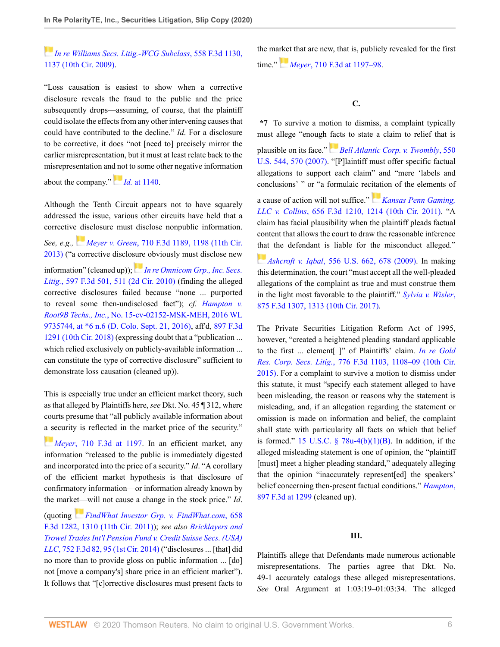# *[In re Williams Secs. Litig.-WCG Subclass](http://www.westlaw.com/Link/Document/FullText?findType=Y&serNum=2018160982&pubNum=0000506&originatingDoc=Id6e0c9e02e4111ebb8aed9085e1cb667&refType=RP&fi=co_pp_sp_506_1137&originationContext=document&vr=3.0&rs=cblt1.0&transitionType=DocumentItem&contextData=(sc.Search)#co_pp_sp_506_1137)*, 558 F.3d 1130, [1137 \(10th Cir. 2009\)](http://www.westlaw.com/Link/Document/FullText?findType=Y&serNum=2018160982&pubNum=0000506&originatingDoc=Id6e0c9e02e4111ebb8aed9085e1cb667&refType=RP&fi=co_pp_sp_506_1137&originationContext=document&vr=3.0&rs=cblt1.0&transitionType=DocumentItem&contextData=(sc.Search)#co_pp_sp_506_1137).

"Loss causation is easiest to show when a corrective disclosure reveals the fraud to the public and the price subsequently drops—assuming, of course, that the plaintiff could isolate the effects from any other intervening causes that could have contributed to the decline." *Id*. For a disclosure to be corrective, it does "not [need to] precisely mirror the earlier misrepresentation, but it must at least relate back to the misrepresentation an[d no](https://1.next.westlaw.com/Link/RelatedInformation/Flag?documentGuid=I8f126574fe2711ddb7e683ba170699a5&transitionType=InlineKeyCiteFlags&originationContext=docHeaderFlag&Rank=0&contextData=(sc.Search) )t to some other negative information

about the company." *Id.* [at 1140](http://www.westlaw.com/Link/Document/FullText?findType=Y&serNum=2018160982&pubNum=0000506&originatingDoc=Id6e0c9e02e4111ebb8aed9085e1cb667&refType=RP&fi=co_pp_sp_506_1140&originationContext=document&vr=3.0&rs=cblt1.0&transitionType=DocumentItem&contextData=(sc.Search)#co_pp_sp_506_1140).

Although the Tenth Circuit appears not to have squarely addressed the issue, various other circuits have held that a corrective disclosure must disclose nonpublic information. *See, e.g., [M](https://1.next.westlaw.com/Link/RelatedInformation/Flag?documentGuid=Ic6eecd037f5611e287a9c52cdddac4f7&transitionType=InlineKeyCiteFlags&originationContext=docHeaderFlag&Rank=0&contextData=(sc.Search) )eyer v. Green*[, 710 F.3d 1189, 1198 \(11th Cir.](http://www.westlaw.com/Link/Document/FullText?findType=Y&serNum=2029929383&pubNum=0000506&originatingDoc=Id6e0c9e02e4111ebb8aed9085e1cb667&refType=RP&fi=co_pp_sp_506_1198&originationContext=document&vr=3.0&rs=cblt1.0&transitionType=DocumentItem&contextData=(sc.Search)#co_pp_sp_506_1198) [2013\)](http://www.westlaw.com/Link/Document/FullText?findType=Y&serNum=2029929383&pubNum=0000506&originatingDoc=Id6e0c9e02e4111ebb8aed9085e1cb667&refType=RP&fi=co_pp_sp_506_1198&originationContext=document&vr=3.0&rs=cblt1.0&transitionType=DocumentItem&contextData=(sc.Search)#co_pp_sp_506_1198) ("a corrective disclo[sure](https://1.next.westlaw.com/Link/RelatedInformation/Flag?documentGuid=Ic12d86722b9211dfaad3d35f6227d4a8&transitionType=InlineKeyCiteFlags&originationContext=docHeaderFlag&Rank=0&contextData=(sc.Search) ) obviously must disclose new information" (cleaned up)); *[In re Omnicom Grp., Inc. Secs.](http://www.westlaw.com/Link/Document/FullText?findType=Y&serNum=2021499983&pubNum=0000506&originatingDoc=Id6e0c9e02e4111ebb8aed9085e1cb667&refType=RP&fi=co_pp_sp_506_511&originationContext=document&vr=3.0&rs=cblt1.0&transitionType=DocumentItem&contextData=(sc.Search)#co_pp_sp_506_511) Litig.*[, 597 F.3d 501, 511 \(2d Cir. 2010\)](http://www.westlaw.com/Link/Document/FullText?findType=Y&serNum=2021499983&pubNum=0000506&originatingDoc=Id6e0c9e02e4111ebb8aed9085e1cb667&refType=RP&fi=co_pp_sp_506_511&originationContext=document&vr=3.0&rs=cblt1.0&transitionType=DocumentItem&contextData=(sc.Search)#co_pp_sp_506_511) (finding the alleged corrective disclosures failed because "none ... purported to reveal some then-undisclosed fact"); *cf. [Hampton v.](http://www.westlaw.com/Link/Document/FullText?findType=Y&serNum=2042769151&pubNum=0000999&originatingDoc=Id6e0c9e02e4111ebb8aed9085e1cb667&refType=RP&originationContext=document&vr=3.0&rs=cblt1.0&transitionType=DocumentItem&contextData=(sc.Search)) Root9B Techs., Inc.*[, No. 15-cv-02152-MSK-MEH, 2016 WL](http://www.westlaw.com/Link/Document/FullText?findType=Y&serNum=2042769151&pubNum=0000999&originatingDoc=Id6e0c9e02e4111ebb8aed9085e1cb667&refType=RP&originationContext=document&vr=3.0&rs=cblt1.0&transitionType=DocumentItem&contextData=(sc.Search)) [9735744, at \\*6 n.6 \(D. Colo. Sept. 21, 2016\),](http://www.westlaw.com/Link/Document/FullText?findType=Y&serNum=2042769151&pubNum=0000999&originatingDoc=Id6e0c9e02e4111ebb8aed9085e1cb667&refType=RP&originationContext=document&vr=3.0&rs=cblt1.0&transitionType=DocumentItem&contextData=(sc.Search)) aff'd, [897 F.3d](http://www.westlaw.com/Link/Document/FullText?findType=Y&serNum=2045151247&pubNum=0000506&originatingDoc=Id6e0c9e02e4111ebb8aed9085e1cb667&refType=RP&originationContext=document&vr=3.0&rs=cblt1.0&transitionType=DocumentItem&contextData=(sc.Search)) [1291 \(10th Cir. 2018\)](http://www.westlaw.com/Link/Document/FullText?findType=Y&serNum=2045151247&pubNum=0000506&originatingDoc=Id6e0c9e02e4111ebb8aed9085e1cb667&refType=RP&originationContext=document&vr=3.0&rs=cblt1.0&transitionType=DocumentItem&contextData=(sc.Search)) (expressing doubt that a "publication ... which relied exclusively on publicly-available information ... can constitute the type of corrective disclosure" sufficient to demonstrate loss causation (cleaned up)).

This is especially true under an efficient market theory, such as that alleged by Plaintiffs here, *see* Dkt. No. 45 ¶ 312, where courts presume that "all publicly available information about [a se](https://1.next.westlaw.com/Link/RelatedInformation/Flag?documentGuid=Ic6eecd037f5611e287a9c52cdddac4f7&transitionType=InlineKeyCiteFlags&originationContext=docHeaderFlag&Rank=0&contextData=(sc.Search) )curity is reflected in the market price of the security."

*Meyer*[, 710 F.3d at 1197.](http://www.westlaw.com/Link/Document/FullText?findType=Y&serNum=2029929383&pubNum=0000506&originatingDoc=Id6e0c9e02e4111ebb8aed9085e1cb667&refType=RP&fi=co_pp_sp_506_1197&originationContext=document&vr=3.0&rs=cblt1.0&transitionType=DocumentItem&contextData=(sc.Search)#co_pp_sp_506_1197) In an efficient market, any information "released to the public is immediately digested and incorporated into the price of a security." *Id*. "A corollary of the efficient market hypothesis is that disclosure of confirmatory information—or information already known by the mark[et—](https://1.next.westlaw.com/Link/RelatedInformation/Flag?documentGuid=Ib407af6ceb6d11e0a06efc94fb34cdeb&transitionType=InlineKeyCiteFlags&originationContext=docHeaderFlag&Rank=0&contextData=(sc.Search) )will not cause a change in the stock price." *Id*.

(quoting *[FindWhat Investor Grp. v. FindWhat.com](http://www.westlaw.com/Link/Document/FullText?findType=Y&serNum=2026252602&pubNum=0000506&originatingDoc=Id6e0c9e02e4111ebb8aed9085e1cb667&refType=RP&fi=co_pp_sp_506_1310&originationContext=document&vr=3.0&rs=cblt1.0&transitionType=DocumentItem&contextData=(sc.Search)#co_pp_sp_506_1310)*, 658 [F.3d 1282, 1310 \(11th Cir. 2011\)\)](http://www.westlaw.com/Link/Document/FullText?findType=Y&serNum=2026252602&pubNum=0000506&originatingDoc=Id6e0c9e02e4111ebb8aed9085e1cb667&refType=RP&fi=co_pp_sp_506_1310&originationContext=document&vr=3.0&rs=cblt1.0&transitionType=DocumentItem&contextData=(sc.Search)#co_pp_sp_506_1310); *see also [Bricklayers and](http://www.westlaw.com/Link/Document/FullText?findType=Y&serNum=2033376212&pubNum=0000506&originatingDoc=Id6e0c9e02e4111ebb8aed9085e1cb667&refType=RP&fi=co_pp_sp_506_95&originationContext=document&vr=3.0&rs=cblt1.0&transitionType=DocumentItem&contextData=(sc.Search)#co_pp_sp_506_95) [Trowel Trades Int'l Pension Fund v. Credit Suisse Secs. \(USA\)](http://www.westlaw.com/Link/Document/FullText?findType=Y&serNum=2033376212&pubNum=0000506&originatingDoc=Id6e0c9e02e4111ebb8aed9085e1cb667&refType=RP&fi=co_pp_sp_506_95&originationContext=document&vr=3.0&rs=cblt1.0&transitionType=DocumentItem&contextData=(sc.Search)#co_pp_sp_506_95) LLC*[, 752 F.3d 82, 95 \(1st Cir. 2014\)](http://www.westlaw.com/Link/Document/FullText?findType=Y&serNum=2033376212&pubNum=0000506&originatingDoc=Id6e0c9e02e4111ebb8aed9085e1cb667&refType=RP&fi=co_pp_sp_506_95&originationContext=document&vr=3.0&rs=cblt1.0&transitionType=DocumentItem&contextData=(sc.Search)#co_pp_sp_506_95) ("disclosures ... [that] did no more than to provide gloss on public information ... [do] not [move a company's] share price in an efficient market"). It follows that "[c]orrective disclosures must present facts to the ma[rket](https://1.next.westlaw.com/Link/RelatedInformation/Flag?documentGuid=Ic6eecd037f5611e287a9c52cdddac4f7&transitionType=InlineKeyCiteFlags&originationContext=docHeaderFlag&Rank=0&contextData=(sc.Search) ) that are new, that is, publicly revealed for the first time." *Meyer*[, 710 F.3d at 1197–98](http://www.westlaw.com/Link/Document/FullText?findType=Y&serNum=2029929383&pubNum=0000506&originatingDoc=Id6e0c9e02e4111ebb8aed9085e1cb667&refType=RP&fi=co_pp_sp_506_1197&originationContext=document&vr=3.0&rs=cblt1.0&transitionType=DocumentItem&contextData=(sc.Search)#co_pp_sp_506_1197).

## **C.**

**\*7** To survive a motion to dismiss, a complaint typically must allege "enough [fac](https://1.next.westlaw.com/Link/RelatedInformation/Flag?documentGuid=Ib53eb62e07a011dcb035bac3a32ef289&transitionType=InlineKeyCiteFlags&originationContext=docHeaderFlag&Rank=0&contextData=(sc.Search) )ts to state a claim to relief that is

plausible on its face." *[Bell Atlantic Corp. v. Twombly](http://www.westlaw.com/Link/Document/FullText?findType=Y&serNum=2012293296&pubNum=0000780&originatingDoc=Id6e0c9e02e4111ebb8aed9085e1cb667&refType=RP&fi=co_pp_sp_780_570&originationContext=document&vr=3.0&rs=cblt1.0&transitionType=DocumentItem&contextData=(sc.Search)#co_pp_sp_780_570)*, 550 [U.S. 544, 570 \(2007\).](http://www.westlaw.com/Link/Document/FullText?findType=Y&serNum=2012293296&pubNum=0000780&originatingDoc=Id6e0c9e02e4111ebb8aed9085e1cb667&refType=RP&fi=co_pp_sp_780_570&originationContext=document&vr=3.0&rs=cblt1.0&transitionType=DocumentItem&contextData=(sc.Search)#co_pp_sp_780_570) "[P]laintiff must offer specific factual allegations to support each claim" and "mere 'labels and conclusions' " or "a formulaic rec[itati](https://1.next.westlaw.com/Link/RelatedInformation/Flag?documentGuid=I839d12ced4a011e0bc27967e57e99458&transitionType=InlineKeyCiteFlags&originationContext=docHeaderFlag&Rank=0&contextData=(sc.Search) )on of the elements of

a cause of action will not suffice." *[Kansas Penn Gaming,](http://www.westlaw.com/Link/Document/FullText?findType=Y&serNum=2025995723&pubNum=0000506&originatingDoc=Id6e0c9e02e4111ebb8aed9085e1cb667&refType=RP&fi=co_pp_sp_506_1214&originationContext=document&vr=3.0&rs=cblt1.0&transitionType=DocumentItem&contextData=(sc.Search)#co_pp_sp_506_1214) LLC v. Collins*[, 656 F.3d 1210, 1214 \(10th Cir. 2011\).](http://www.westlaw.com/Link/Document/FullText?findType=Y&serNum=2025995723&pubNum=0000506&originatingDoc=Id6e0c9e02e4111ebb8aed9085e1cb667&refType=RP&fi=co_pp_sp_506_1214&originationContext=document&vr=3.0&rs=cblt1.0&transitionType=DocumentItem&contextData=(sc.Search)#co_pp_sp_506_1214) "A claim has facial plausibility when the plaintiff pleads factual content that allows the court to draw the reasonable inference [that](https://1.next.westlaw.com/Link/RelatedInformation/Flag?documentGuid=I90623386439011de8bf6cd8525c41437&transitionType=InlineKeyCiteFlags&originationContext=docHeaderFlag&Rank=0&contextData=(sc.Search) ) the defendant is liable for the misconduct alleged."

*Ashcroft v. Iqbal*[, 556 U.S. 662, 678 \(2009\).](http://www.westlaw.com/Link/Document/FullText?findType=Y&serNum=2018848474&pubNum=0000780&originatingDoc=Id6e0c9e02e4111ebb8aed9085e1cb667&refType=RP&fi=co_pp_sp_780_678&originationContext=document&vr=3.0&rs=cblt1.0&transitionType=DocumentItem&contextData=(sc.Search)#co_pp_sp_780_678) In making this determination, the court "must accept all the well-pleaded allegations of the complaint as true and must construe them in the light most favorable to the plaintiff." *[Sylvia v. Wisler](http://www.westlaw.com/Link/Document/FullText?findType=Y&serNum=2043233974&pubNum=0000506&originatingDoc=Id6e0c9e02e4111ebb8aed9085e1cb667&refType=RP&fi=co_pp_sp_506_1313&originationContext=document&vr=3.0&rs=cblt1.0&transitionType=DocumentItem&contextData=(sc.Search)#co_pp_sp_506_1313)*, [875 F.3d 1307, 1313 \(10th Cir. 2017\).](http://www.westlaw.com/Link/Document/FullText?findType=Y&serNum=2043233974&pubNum=0000506&originatingDoc=Id6e0c9e02e4111ebb8aed9085e1cb667&refType=RP&fi=co_pp_sp_506_1313&originationContext=document&vr=3.0&rs=cblt1.0&transitionType=DocumentItem&contextData=(sc.Search)#co_pp_sp_506_1313)

The Private Securities Litigation Reform Act of 1995, however, "created a heightened pleading standard applicable to the first ... element[ ]" of Plaintiffs' claim. *[In re Gold](http://www.westlaw.com/Link/Document/FullText?findType=Y&serNum=2035289683&pubNum=0000506&originatingDoc=Id6e0c9e02e4111ebb8aed9085e1cb667&refType=RP&fi=co_pp_sp_506_1108&originationContext=document&vr=3.0&rs=cblt1.0&transitionType=DocumentItem&contextData=(sc.Search)#co_pp_sp_506_1108) Res. Corp. Secs. Litig.*[, 776 F.3d 1103, 1108–09 \(10th Cir.](http://www.westlaw.com/Link/Document/FullText?findType=Y&serNum=2035289683&pubNum=0000506&originatingDoc=Id6e0c9e02e4111ebb8aed9085e1cb667&refType=RP&fi=co_pp_sp_506_1108&originationContext=document&vr=3.0&rs=cblt1.0&transitionType=DocumentItem&contextData=(sc.Search)#co_pp_sp_506_1108) [2015\)](http://www.westlaw.com/Link/Document/FullText?findType=Y&serNum=2035289683&pubNum=0000506&originatingDoc=Id6e0c9e02e4111ebb8aed9085e1cb667&refType=RP&fi=co_pp_sp_506_1108&originationContext=document&vr=3.0&rs=cblt1.0&transitionType=DocumentItem&contextData=(sc.Search)#co_pp_sp_506_1108). For a complaint to survive a motion to dismiss under this statute, it must "specify each statement alleged to have been misleading, the reason or reasons why the statement is misleading, and, if an allegation regarding the statement or omission is made on information and belief, the complaint shall state with particularity all facts on which that belief is formed." 15 U.S.C.  $\S$  78u-4(b)(1)(B). In addition, if the alleged misleading statement is one of opinion, the "plaintiff [must] meet a higher pleading standard," adequately alleging that the opinion "inaccurately represent[ed] the speakers' belief concerning then-present factual conditions." *[Hampton](http://www.westlaw.com/Link/Document/FullText?findType=Y&serNum=2045151247&pubNum=0000506&originatingDoc=Id6e0c9e02e4111ebb8aed9085e1cb667&refType=RP&fi=co_pp_sp_506_1299&originationContext=document&vr=3.0&rs=cblt1.0&transitionType=DocumentItem&contextData=(sc.Search)#co_pp_sp_506_1299)*, [897 F.3d at 1299](http://www.westlaw.com/Link/Document/FullText?findType=Y&serNum=2045151247&pubNum=0000506&originatingDoc=Id6e0c9e02e4111ebb8aed9085e1cb667&refType=RP&fi=co_pp_sp_506_1299&originationContext=document&vr=3.0&rs=cblt1.0&transitionType=DocumentItem&contextData=(sc.Search)#co_pp_sp_506_1299) (cleaned up).

## **III.**

Plaintiffs allege that Defendants made numerous actionable misrepresentations. The parties agree that Dkt. No. 49-1 accurately catalogs these alleged misrepresentations. *See* Oral Argument at 1:03:19–01:03:34. The alleged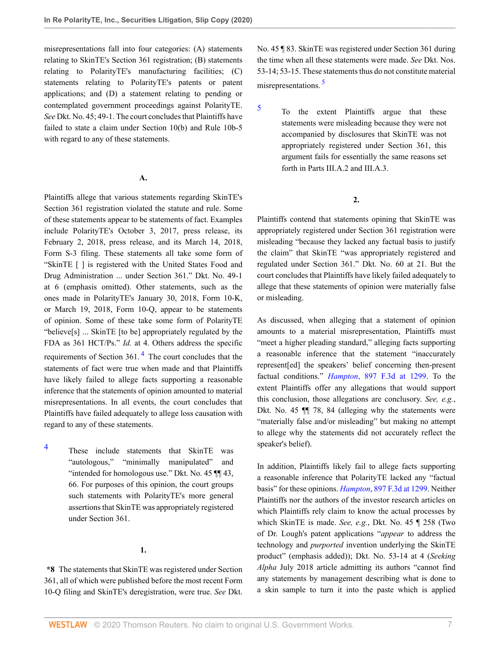misrepresentations fall into four categories: (A) statements relating to SkinTE's Section 361 registration; (B) statements relating to PolarityTE's manufacturing facilities; (C) statements relating to PolarityTE's patents or patent applications; and (D) a statement relating to pending or contemplated government proceedings against PolarityTE. *See* Dkt. No. 45; 49-1. The court concludes that Plaintiffs have failed to state a claim under Section 10(b) and Rule 10b-5 with regard to any of these statements.

## **A.**

Plaintiffs allege that various statements regarding SkinTE's Section 361 registration violated the statute and rule. Some of these statements appear to be statements of fact. Examples include PolarityTE's October 3, 2017, press release, its February 2, 2018, press release, and its March 14, 2018, Form S-3 filing. These statements all take some form of "SkinTE [ ] is registered with the United States Food and Drug Administration ... under Section 361." Dkt. No. 49-1 at 6 (emphasis omitted). Other statements, such as the ones made in PolarityTE's January 30, 2018, Form 10-K, or March 19, 2018, Form 10-Q, appear to be statements of opinion. Some of these take some form of PolarityTE "believe[s] ... SkinTE [to be] appropriately regulated by the FDA as 361 HCT/Ps." *Id.* at 4. Others address the specific requirements of Section  $361<sup>4</sup>$  $361<sup>4</sup>$  $361<sup>4</sup>$ . The court concludes that the statements of fact were true when made and that Plaintiffs have likely failed to allege facts supporting a reasonable inference that the statements of opinion amounted to material misrepresentations. In all events, the court concludes that Plaintiffs have failed adequately to allege loss causation with regard to any of these statements.

<span id="page-6-0"></span>[4](#page-6-1) These include statements that SkinTE was "autologous," "minimally manipulated" and "intended for homologous use." Dkt. No. 45 ¶¶ 43, 66. For purposes of this opinion, the court groups such statements with PolarityTE's more general assertions that SkinTE was appropriately registered under Section 361.

#### **1.**

**\*8** The statements that SkinTE was registered under Section 361, all of which were published before the most recent Form 10-Q filing and SkinTE's deregistration, were true. *See* Dkt. No. 45 ¶ 83. SkinTE was registered under Section 361 during the time when all these statements were made. *See* Dkt. Nos. 53-14; 53-15. These statements thus do not constitute material misrepresentations. [5](#page-6-2)

<span id="page-6-2"></span>[5](#page-6-3)

<span id="page-6-3"></span>To the extent Plaintiffs argue that these statements were misleading because they were not accompanied by disclosures that SkinTE was not appropriately registered under Section 361, this argument fails for essentially the same reasons set forth in Parts III.A.2 and III.A.3.

## **2.**

Plaintiffs contend that statements opining that SkinTE was appropriately registered under Section 361 registration were misleading "because they lacked any factual basis to justify the claim" that SkinTE "was appropriately registered and regulated under Section 361." Dkt. No. 60 at 21. But the court concludes that Plaintiffs have likely failed adequately to allege that these statements of opinion were materially false or misleading.

<span id="page-6-1"></span>As discussed, when alleging that a statement of opinion amounts to a material misrepresentation, Plaintiffs must "meet a higher pleading standard," alleging facts supporting a reasonable inference that the statement "inaccurately represent[ed] the speakers' belief concerning then-present factual conditions." *Hampton*[, 897 F.3d at 1299](http://www.westlaw.com/Link/Document/FullText?findType=Y&serNum=2045151247&pubNum=0000506&originatingDoc=Id6e0c9e02e4111ebb8aed9085e1cb667&refType=RP&fi=co_pp_sp_506_1299&originationContext=document&vr=3.0&rs=cblt1.0&transitionType=DocumentItem&contextData=(sc.Search)#co_pp_sp_506_1299). To the extent Plaintiffs offer any allegations that would support this conclusion, those allegations are conclusory. *See, e.g.*, Dkt. No. 45 ¶¶ 78, 84 (alleging why the statements were "materially false and/or misleading" but making no attempt to allege why the statements did not accurately reflect the speaker's belief).

In addition, Plaintiffs likely fail to allege facts supporting a reasonable inference that PolarityTE lacked any "factual basis" for these opinions. *Hampton*[, 897 F.3d at 1299.](http://www.westlaw.com/Link/Document/FullText?findType=Y&serNum=2045151247&pubNum=0000506&originatingDoc=Id6e0c9e02e4111ebb8aed9085e1cb667&refType=RP&fi=co_pp_sp_506_1299&originationContext=document&vr=3.0&rs=cblt1.0&transitionType=DocumentItem&contextData=(sc.Search)#co_pp_sp_506_1299) Neither Plaintiffs nor the authors of the investor research articles on which Plaintiffs rely claim to know the actual processes by which SkinTE is made. *See, e.g.*, Dkt. No. 45 ¶ 258 (Two of Dr. Lough's patent applications "*appear* to address the technology and *purported* invention underlying the SkinTE product" (emphasis added)); Dkt. No. 53-14 at 4 (*Seeking Alpha* July 2018 article admitting its authors "cannot find any statements by management describing what is done to a skin sample to turn it into the paste which is applied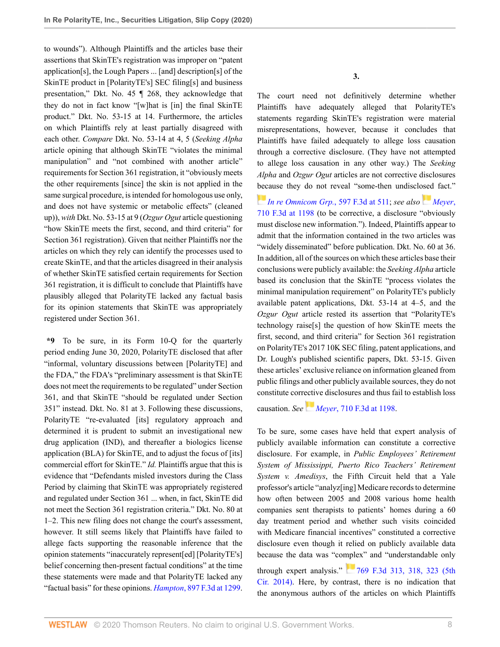to wounds"). Although Plaintiffs and the articles base their assertions that SkinTE's registration was improper on "patent application[s], the Lough Papers ... [and] description[s] of the SkinTE product in [PolarityTE's] SEC filing[s] and business presentation," Dkt. No. 45 ¶ 268, they acknowledge that they do not in fact know "[w]hat is [in] the final SkinTE product." Dkt. No. 53-15 at 14. Furthermore, the articles on which Plaintiffs rely at least partially disagreed with each other. *Compare* Dkt. No. 53-14 at 4, 5 (*Seeking Alpha* article opining that although SkinTE "violates the minimal manipulation" and "not combined with another article" requirements for Section 361 registration, it "obviously meets the other requirements [since] the skin is not applied in the same surgical procedure, is intended for homologous use only, and does not have systemic or metabolic effects" (cleaned up)), *with* Dkt. No. 53-15 at 9 (*Ozgur Ogut* article questioning "how SkinTE meets the first, second, and third criteria" for Section 361 registration). Given that neither Plaintiffs nor the articles on which they rely can identify the processes used to create SkinTE, and that the articles disagreed in their analysis of whether SkinTE satisfied certain requirements for Section 361 registration, it is difficult to conclude that Plaintiffs have plausibly alleged that PolarityTE lacked any factual basis for its opinion statements that SkinTE was appropriately registered under Section 361.

**\*9** To be sure, in its Form 10-Q for the quarterly period ending June 30, 2020, PolarityTE disclosed that after "informal, voluntary discussions between [PolarityTE] and the FDA," the FDA's "preliminary assessment is that SkinTE does not meet the requirements to be regulated" under Section 361, and that SkinTE "should be regulated under Section 351" instead. Dkt. No. 81 at 3. Following these discussions, PolarityTE "re-evaluated [its] regulatory approach and determined it is prudent to submit an investigational new drug application (IND), and thereafter a biologics license application (BLA) for SkinTE, and to adjust the focus of [its] commercial effort for SkinTE." *Id.* Plaintiffs argue that this is evidence that "Defendants misled investors during the Class Period by claiming that SkinTE was appropriately registered and regulated under Section 361 ... when, in fact, SkinTE did not meet the Section 361 registration criteria." Dkt. No. 80 at 1–2. This new filing does not change the court's assessment, however. It still seems likely that Plaintiffs have failed to allege facts supporting the reasonable inference that the opinion statements "inaccurately represent[ed] [PolarityTE's] belief concerning then-present factual conditions" at the time these statements were made and that PolarityTE lacked any "factual basis" for these opinions. *Hampton*[, 897 F.3d at 1299.](http://www.westlaw.com/Link/Document/FullText?findType=Y&serNum=2045151247&pubNum=0000506&originatingDoc=Id6e0c9e02e4111ebb8aed9085e1cb667&refType=RP&fi=co_pp_sp_506_1299&originationContext=document&vr=3.0&rs=cblt1.0&transitionType=DocumentItem&contextData=(sc.Search)#co_pp_sp_506_1299)

**3.**

The court need not definitively determine whether Plaintiffs have adequately alleged that PolarityTE's statements regarding SkinTE's registration were material misrepresentations, however, because it concludes that Plaintiffs have failed adequately to allege loss causation through a corrective disclosure. (They have not attempted to allege loss causation in any other way.) The *Seeking Alpha* and *Ozgur Ogut* articles are not corrective disclosures [bec](https://1.next.westlaw.com/Link/RelatedInformation/Flag?documentGuid=Ic12d86722b9211dfaad3d35f6227d4a8&transitionType=InlineKeyCiteFlags&originationContext=docHeaderFlag&Rank=0&contextData=(sc.Search) )ause they do not reveal "some-then undisclosed fact."

*[In re Omnicom Grp.](http://www.westlaw.com/Link/Document/FullText?findType=Y&serNum=2021499983&pubNum=0000506&originatingDoc=Id6e0c9e02e4111ebb8aed9085e1cb667&refType=RP&fi=co_pp_sp_506_511&originationContext=document&vr=3.0&rs=cblt1.0&transitionType=DocumentItem&contextData=(sc.Search)#co_pp_sp_506_511)*, 597 F.3d at 511; *see also[Meyer](http://www.westlaw.com/Link/Document/FullText?findType=Y&serNum=2029929383&pubNum=0000506&originatingDoc=Id6e0c9e02e4111ebb8aed9085e1cb667&refType=RP&fi=co_pp_sp_506_1198&originationContext=document&vr=3.0&rs=cblt1.0&transitionType=DocumentItem&contextData=(sc.Search)#co_pp_sp_506_1198)*, [710 F.3d at 1198](http://www.westlaw.com/Link/Document/FullText?findType=Y&serNum=2029929383&pubNum=0000506&originatingDoc=Id6e0c9e02e4111ebb8aed9085e1cb667&refType=RP&fi=co_pp_sp_506_1198&originationContext=document&vr=3.0&rs=cblt1.0&transitionType=DocumentItem&contextData=(sc.Search)#co_pp_sp_506_1198) (to be corrective, a disclosure "obviously must disclose new information."). Indeed, Plaintiffs appear to admit that the information contained in the two articles was "widely disseminated" before publication. Dkt. No. 60 at 36. In addition, all of the sources on which these articles base their conclusions were publicly available: the *Seeking Alpha* article based its conclusion that the SkinTE "process violates the minimal manipulation requirement" on PolarityTE's publicly available patent applications, Dkt. 53-14 at 4–5, and the *Ozgur Ogut* article rested its assertion that "PolarityTE's technology raise[s] the question of how SkinTE meets the first, second, and third criteria" for Section 361 registration on PolarityTE's 2017 10K SEC filing, patent applications, and Dr. Lough's published scientific papers, Dkt. 53-15. Given these articles' exclusive reliance on information gleaned from public filings and other publicly available sources, they do not constitute corrective disclosures and thus fail to establish loss

causation. *See [M](https://1.next.westlaw.com/Link/RelatedInformation/Flag?documentGuid=Ic6eecd037f5611e287a9c52cdddac4f7&transitionType=InlineKeyCiteFlags&originationContext=docHeaderFlag&Rank=0&contextData=(sc.Search) )eyer*[, 710 F.3d at 1198.](http://www.westlaw.com/Link/Document/FullText?findType=Y&serNum=2029929383&pubNum=0000506&originatingDoc=Id6e0c9e02e4111ebb8aed9085e1cb667&refType=RP&fi=co_pp_sp_506_1198&originationContext=document&vr=3.0&rs=cblt1.0&transitionType=DocumentItem&contextData=(sc.Search)#co_pp_sp_506_1198)

To be sure, some cases have held that expert analysis of publicly available information can constitute a corrective disclosure. For example, in *Public Employees' Retirement System of Mississippi, Puerto Rico Teachers' Retirement System v. Amedisys*, the Fifth Circuit held that a Yale professor's article "analyz[ing] Medicare records to determine how often between 2005 and 2008 various home health companies sent therapists to patients' homes during a 60 day treatment period and whether such visits coincided with Medicare financial incentives" constituted a corrective disclosure even though it relied on publicly available data because the data was "complex" and "understandable only through expert analysis." [769 F.3d 313, 318, 323 \(5th](http://www.westlaw.com/Link/Document/FullText?findType=Y&serNum=2034493108&pubNum=0000506&originatingDoc=Id6e0c9e02e4111ebb8aed9085e1cb667&refType=RP&fi=co_pp_sp_506_318&originationContext=document&vr=3.0&rs=cblt1.0&transitionType=DocumentItem&contextData=(sc.Search)#co_pp_sp_506_318) [Cir. 2014\)](http://www.westlaw.com/Link/Document/FullText?findType=Y&serNum=2034493108&pubNum=0000506&originatingDoc=Id6e0c9e02e4111ebb8aed9085e1cb667&refType=RP&fi=co_pp_sp_506_318&originationContext=document&vr=3.0&rs=cblt1.0&transitionType=DocumentItem&contextData=(sc.Search)#co_pp_sp_506_318). Here, by contrast, there is no indication that the anonymous authors of the articles on which Plaintiffs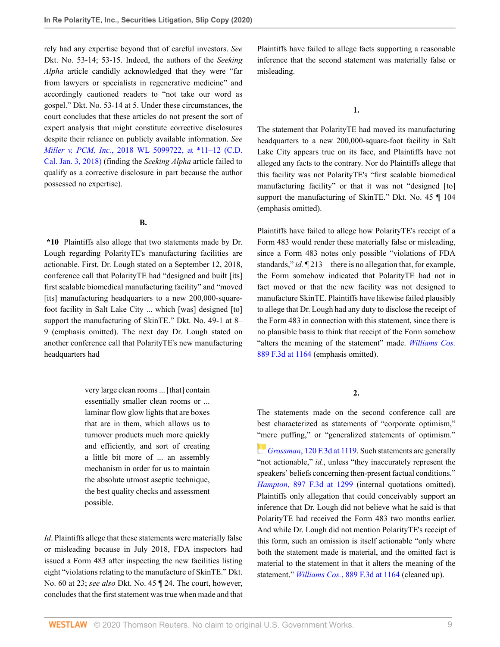rely had any expertise beyond that of careful investors. *See* Dkt. No. 53-14; 53-15. Indeed, the authors of the *Seeking Alpha* article candidly acknowledged that they were "far from lawyers or specialists in regenerative medicine" and accordingly cautioned readers to "not take our word as gospel." Dkt. No. 53-14 at 5. Under these circumstances, the court concludes that these articles do not present the sort of expert analysis that might constitute corrective disclosures despite their reliance on publicly available information. *See Miller v. PCM, Inc.*[, 2018 WL 5099722, at \\*11](http://www.westlaw.com/Link/Document/FullText?findType=Y&serNum=2045807598&pubNum=0000999&originatingDoc=Id6e0c9e02e4111ebb8aed9085e1cb667&refType=RP&originationContext=document&vr=3.0&rs=cblt1.0&transitionType=DocumentItem&contextData=(sc.Search))*–*12 (C.D. [Cal. Jan. 3, 2018\)](http://www.westlaw.com/Link/Document/FullText?findType=Y&serNum=2045807598&pubNum=0000999&originatingDoc=Id6e0c9e02e4111ebb8aed9085e1cb667&refType=RP&originationContext=document&vr=3.0&rs=cblt1.0&transitionType=DocumentItem&contextData=(sc.Search)) (finding the *Seeking Alpha* article failed to qualify as a corrective disclosure in part because the author possessed no expertise).

#### **B.**

**\*10** Plaintiffs also allege that two statements made by Dr. Lough regarding PolarityTE's manufacturing facilities are actionable. First, Dr. Lough stated on a September 12, 2018, conference call that PolarityTE had "designed and built [its] first scalable biomedical manufacturing facility" and "moved [its] manufacturing headquarters to a new 200,000-squarefoot facility in Salt Lake City ... which [was] designed [to] support the manufacturing of SkinTE." Dkt. No. 49-1 at 8– 9 (emphasis omitted). The next day Dr. Lough stated on another conference call that PolarityTE's new manufacturing headquarters had

> very large clean rooms ... [that] contain essentially smaller clean rooms or ... laminar flow glow lights that are boxes that are in them, which allows us to turnover products much more quickly and efficiently, and sort of creating a little bit more of ... an assembly mechanism in order for us to maintain the absolute utmost aseptic technique, the best quality checks and assessment possible.

*Id*. Plaintiffs allege that these statements were materially false or misleading because in July 2018, FDA inspectors had issued a Form 483 after inspecting the new facilities listing eight "violations relating to the manufacture of SkinTE." Dkt. No. 60 at 23; *see also* Dkt. No. 45 ¶ 24. The court, however, concludes that the first statement was true when made and that Plaintiffs have failed to allege facts supporting a reasonable inference that the second statement was materially false or misleading.

**1.**

The statement that PolarityTE had moved its manufacturing headquarters to a new 200,000-square-foot facility in Salt Lake City appears true on its face, and Plaintiffs have not alleged any facts to the contrary. Nor do Plaintiffs allege that this facility was not PolarityTE's "first scalable biomedical manufacturing facility" or that it was not "designed [to] support the manufacturing of SkinTE." Dkt. No. 45 ¶ 104 (emphasis omitted).

Plaintiffs have failed to allege how PolarityTE's receipt of a Form 483 would render these materially false or misleading, since a Form 483 notes only possible "violations of FDA standards," *id.* ¶ 213—there is no allegation that, for example, the Form somehow indicated that PolarityTE had not in fact moved or that the new facility was not designed to manufacture SkinTE. Plaintiffs have likewise failed plausibly to allege that Dr. Lough had any duty to disclose the receipt of the Form 483 in connection with this statement, since there is no plausible basis to think that receipt of the Form somehow "alters the meaning of the statement" made. *[Williams Cos.](http://www.westlaw.com/Link/Document/FullText?findType=Y&serNum=2044509516&pubNum=0000506&originatingDoc=Id6e0c9e02e4111ebb8aed9085e1cb667&refType=RP&fi=co_pp_sp_506_1164&originationContext=document&vr=3.0&rs=cblt1.0&transitionType=DocumentItem&contextData=(sc.Search)#co_pp_sp_506_1164)* [889 F.3d at 1164](http://www.westlaw.com/Link/Document/FullText?findType=Y&serNum=2044509516&pubNum=0000506&originatingDoc=Id6e0c9e02e4111ebb8aed9085e1cb667&refType=RP&fi=co_pp_sp_506_1164&originationContext=document&vr=3.0&rs=cblt1.0&transitionType=DocumentItem&contextData=(sc.Search)#co_pp_sp_506_1164) (emphasis omitted).

**2.**

The statements made on the second conference call are best characterized as statements of "corporate optimism," ["me](https://1.next.westlaw.com/Link/RelatedInformation/Flag?documentGuid=I7fdf17b4942811d9a707f4371c9c34f0&transitionType=InlineKeyCiteFlags&originationContext=docHeaderFlag&Rank=0&contextData=(sc.Search) )re puffing," or "generalized statements of optimism."

*Grossman*[, 120 F.3d at 1119.](http://www.westlaw.com/Link/Document/FullText?findType=Y&serNum=1997168063&pubNum=0000506&originatingDoc=Id6e0c9e02e4111ebb8aed9085e1cb667&refType=RP&fi=co_pp_sp_506_1119&originationContext=document&vr=3.0&rs=cblt1.0&transitionType=DocumentItem&contextData=(sc.Search)#co_pp_sp_506_1119) Such statements are generally "not actionable," *id.*, unless "they inaccurately represent the speakers' beliefs concerning then-present factual conditions." *Hampton*[, 897 F.3d at 1299](http://www.westlaw.com/Link/Document/FullText?findType=Y&serNum=2045151247&pubNum=0000506&originatingDoc=Id6e0c9e02e4111ebb8aed9085e1cb667&refType=RP&fi=co_pp_sp_506_1299&originationContext=document&vr=3.0&rs=cblt1.0&transitionType=DocumentItem&contextData=(sc.Search)#co_pp_sp_506_1299) (internal quotations omitted). Plaintiffs only allegation that could conceivably support an inference that Dr. Lough did not believe what he said is that PolarityTE had received the Form 483 two months earlier. And while Dr. Lough did not mention PolarityTE's receipt of this form, such an omission is itself actionable "only where both the statement made is material, and the omitted fact is material to the statement in that it alters the meaning of the statement." *Williams Cos.*[, 889 F.3d at 1164](http://www.westlaw.com/Link/Document/FullText?findType=Y&serNum=2044509516&pubNum=0000506&originatingDoc=Id6e0c9e02e4111ebb8aed9085e1cb667&refType=RP&fi=co_pp_sp_506_1164&originationContext=document&vr=3.0&rs=cblt1.0&transitionType=DocumentItem&contextData=(sc.Search)#co_pp_sp_506_1164) (cleaned up).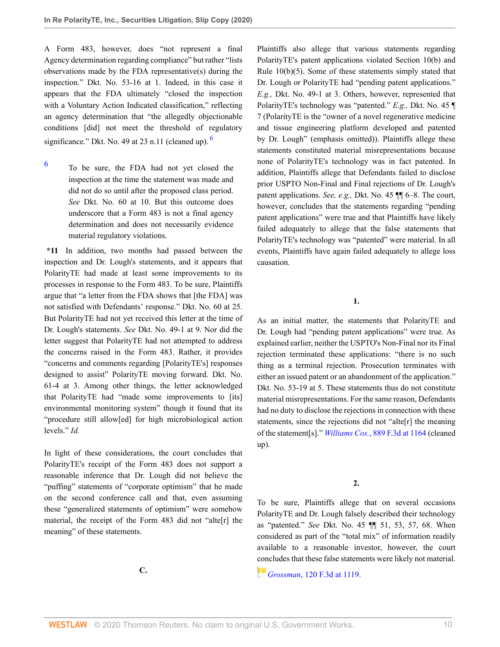A Form 483, however, does "not represent a final Agency determination regarding compliance" but rather "lists observations made by the FDA representative(s) during the inspection." Dkt. No. 53-16 at 1. Indeed, in this case it appears that the FDA ultimately "closed the inspection with a Voluntary Action Indicated classification," reflecting an agency determination that "the allegedly objectionable conditions [did] not meet the threshold of regulatory significance." Dkt. No. 49 at 23 n.11 (cleaned up).  $\frac{6}{1}$  $\frac{6}{1}$  $\frac{6}{1}$ 

<span id="page-9-0"></span>[6](#page-9-1) To be sure, the FDA had not yet closed the inspection at the time the statement was made and did not do so until after the proposed class period. *See* Dkt. No. 60 at 10. But this outcome does underscore that a Form 483 is not a final agency determination and does not necessarily evidence material regulatory violations.

**\*11** In addition, two months had passed between the inspection and Dr. Lough's statements, and it appears that PolarityTE had made at least some improvements to its processes in response to the Form 483. To be sure, Plaintiffs argue that "a letter from the FDA shows that [the FDA] was not satisfied with Defendants' response." Dkt. No. 60 at 25. But PolarityTE had not yet received this letter at the time of Dr. Lough's statements. *See* Dkt. No. 49-1 at 9. Nor did the letter suggest that PolarityTE had not attempted to address the concerns raised in the Form 483. Rather, it provides "concerns and comments regarding [PolarityTE's] responses designed to assist" PolarityTE moving forward. Dkt. No. 61-4 at 3. Among other things, the letter acknowledged that PolarityTE had "made some improvements to [its] environmental monitoring system" though it found that its "procedure still allow[ed] for high microbiological action levels." *Id.*

In light of these considerations, the court concludes that PolarityTE's receipt of the Form 483 does not support a reasonable inference that Dr. Lough did not believe the "puffing" statements of "corporate optimism" that he made on the second conference call and that, even assuming these "generalized statements of optimism" were somehow material, the receipt of the Form 483 did not "alte[r] the meaning" of these statements.

<span id="page-9-1"></span>Plaintiffs also allege that various statements regarding PolarityTE's patent applications violated Section 10(b) and Rule 10(b)(5). Some of these statements simply stated that Dr. Lough or PolarityTE had "pending patent applications." *E.g.,* Dkt. No. 49-1 at 3. Others, however, represented that PolarityTE's technology was "patented." *E.g.,* Dkt. No. 45 ¶ 7 (PolarityTE is the "owner of a novel regenerative medicine and tissue engineering platform developed and patented by Dr. Lough" (emphasis omitted)). Plaintiffs allege these statements constituted material misrepresentations because none of PolarityTE's technology was in fact patented. In addition, Plaintiffs allege that Defendants failed to disclose prior USPTO Non-Final and Final rejections of Dr. Lough's patent applications. *See, e.g.,* Dkt. No. 45 ¶¶ 6–8. The court, however, concludes that the statements regarding "pending patent applications" were true and that Plaintiffs have likely failed adequately to allege that the false statements that PolarityTE's technology was "patented" were material. In all events, Plaintiffs have again failed adequately to allege loss causation.

**1.**

As an initial matter, the statements that PolarityTE and Dr. Lough had "pending patent applications" were true. As explained earlier, neither the USPTO's Non-Final nor its Final rejection terminated these applications: "there is no such thing as a terminal rejection. Prosecution terminates with either an issued patent or an abandonment of the application." Dkt. No. 53-19 at 5. These statements thus do not constitute material misrepresentations. For the same reason, Defendants had no duty to disclose the rejections in connection with these statements, since the rejections did not "alte[r] the meaning of the statement[s]." *Williams Cos.*[, 889 F.3d at 1164](http://www.westlaw.com/Link/Document/FullText?findType=Y&serNum=2044509516&pubNum=0000506&originatingDoc=Id6e0c9e02e4111ebb8aed9085e1cb667&refType=RP&fi=co_pp_sp_506_1164&originationContext=document&vr=3.0&rs=cblt1.0&transitionType=DocumentItem&contextData=(sc.Search)#co_pp_sp_506_1164) (cleaned up).

**2.**

To be sure, Plaintiffs allege that on several occasions PolarityTE and Dr. Lough falsely described their technology as "patented." *See* Dkt. No. 45 ¶¶ 51, 53, 57, 68. When considered as part of the "total mix" of information readily available to a reasonable investor, however, the court [con](https://1.next.westlaw.com/Link/RelatedInformation/Flag?documentGuid=I7fdf17b4942811d9a707f4371c9c34f0&transitionType=InlineKeyCiteFlags&originationContext=docHeaderFlag&Rank=0&contextData=(sc.Search) )cludes that these false statements were likely not material.

*Grossman*[, 120 F.3d at 1119.](http://www.westlaw.com/Link/Document/FullText?findType=Y&serNum=1997168063&pubNum=0000506&originatingDoc=Id6e0c9e02e4111ebb8aed9085e1cb667&refType=RP&fi=co_pp_sp_506_1119&originationContext=document&vr=3.0&rs=cblt1.0&transitionType=DocumentItem&contextData=(sc.Search)#co_pp_sp_506_1119)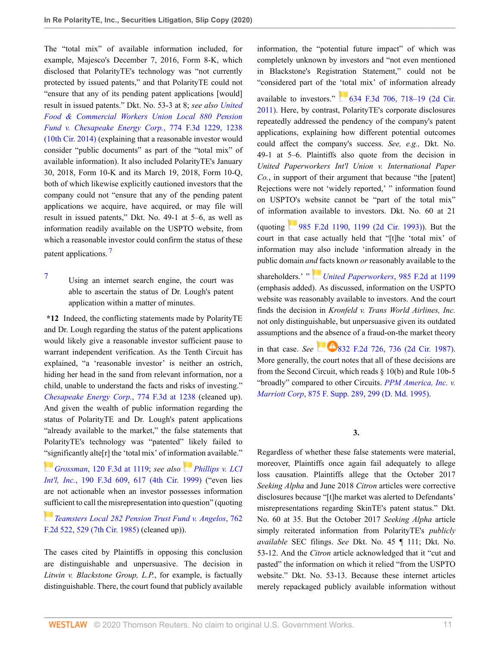The "total mix" of available information included, for example, Majesco's December 7, 2016, Form 8-K, which disclosed that PolarityTE's technology was "not currently protected by issued patents," and that PolarityTE could not "ensure that any of its pending patent applications [would] result in issued patents." Dkt. No. 53-3 at 8; *see also [United](http://www.westlaw.com/Link/Document/FullText?findType=Y&serNum=2034895509&pubNum=0000506&originatingDoc=Id6e0c9e02e4111ebb8aed9085e1cb667&refType=RP&fi=co_pp_sp_506_1238&originationContext=document&vr=3.0&rs=cblt1.0&transitionType=DocumentItem&contextData=(sc.Search)#co_pp_sp_506_1238) [Food & Commercial Workers Union Local 880 Pension](http://www.westlaw.com/Link/Document/FullText?findType=Y&serNum=2034895509&pubNum=0000506&originatingDoc=Id6e0c9e02e4111ebb8aed9085e1cb667&refType=RP&fi=co_pp_sp_506_1238&originationContext=document&vr=3.0&rs=cblt1.0&transitionType=DocumentItem&contextData=(sc.Search)#co_pp_sp_506_1238) [Fund v. Chesapeake Energy Corp.](http://www.westlaw.com/Link/Document/FullText?findType=Y&serNum=2034895509&pubNum=0000506&originatingDoc=Id6e0c9e02e4111ebb8aed9085e1cb667&refType=RP&fi=co_pp_sp_506_1238&originationContext=document&vr=3.0&rs=cblt1.0&transitionType=DocumentItem&contextData=(sc.Search)#co_pp_sp_506_1238)*, 774 F.3d 1229, 1238 [\(10th Cir. 2014\)](http://www.westlaw.com/Link/Document/FullText?findType=Y&serNum=2034895509&pubNum=0000506&originatingDoc=Id6e0c9e02e4111ebb8aed9085e1cb667&refType=RP&fi=co_pp_sp_506_1238&originationContext=document&vr=3.0&rs=cblt1.0&transitionType=DocumentItem&contextData=(sc.Search)#co_pp_sp_506_1238) (explaining that a reasonable investor would consider "public documents" as part of the "total mix" of available information). It also included PolarityTE's January 30, 2018, Form 10-K and its March 19, 2018, Form 10-Q, both of which likewise explicitly cautioned investors that the company could not "ensure that any of the pending patent applications we acquire, have acquired, or may file will result in issued patents," Dkt. No. 49-1 at 5–6, as well as information readily available on the USPTO website, from which a reasonable investor could confirm the status of these patent applications.<sup>[7](#page-10-0)</sup>

<span id="page-10-1"></span><span id="page-10-0"></span>[7](#page-10-1) Using an internet search engine, the court was able to ascertain the status of Dr. Lough's patent application within a matter of minutes.

**\*12** Indeed, the conflicting statements made by PolarityTE and Dr. Lough regarding the status of the patent applications would likely give a reasonable investor sufficient pause to warrant independent verification. As the Tenth Circuit has explained, "a 'reasonable investor' is neither an ostrich, hiding her head in the sand from relevant information, nor a child, unable to understand the facts and risks of investing." *[Chesapeake Energy Corp.](http://www.westlaw.com/Link/Document/FullText?findType=Y&serNum=2034895509&pubNum=0000506&originatingDoc=Id6e0c9e02e4111ebb8aed9085e1cb667&refType=RP&fi=co_pp_sp_506_1238&originationContext=document&vr=3.0&rs=cblt1.0&transitionType=DocumentItem&contextData=(sc.Search)#co_pp_sp_506_1238)*, 774 F.3d at 1238 (cleaned up). And given the wealth of public information regarding the status of PolarityTE and Dr. Lough's patent applications "already available to the market," the false statements that PolarityTE's technology was "patented" likely failed to ["sig](https://1.next.westlaw.com/Link/RelatedInformation/Flag?documentGuid=I7fdf17b4942811d9a707f4371c9c34f0&transitionType=InlineKeyCiteFlags&originationContext=docHeaderFlag&Rank=0&contextData=(sc.Search) )nificantly alte[r] the 'total mix' of information available."

*Grossman*[, 120 F.3d at 1119](http://www.westlaw.com/Link/Document/FullText?findType=Y&serNum=1997168063&pubNum=0000506&originatingDoc=Id6e0c9e02e4111ebb8aed9085e1cb667&refType=RP&fi=co_pp_sp_506_1119&originationContext=document&vr=3.0&rs=cblt1.0&transitionType=DocumentItem&contextData=(sc.Search)#co_pp_sp_506_1119); *see also [Phillips v. LCI](http://www.westlaw.com/Link/Document/FullText?findType=Y&serNum=1999212315&pubNum=0000506&originatingDoc=Id6e0c9e02e4111ebb8aed9085e1cb667&refType=RP&fi=co_pp_sp_506_617&originationContext=document&vr=3.0&rs=cblt1.0&transitionType=DocumentItem&contextData=(sc.Search)#co_pp_sp_506_617) Int'l, Inc.*[, 190 F.3d 609, 617 \(4th Cir. 1999\)](http://www.westlaw.com/Link/Document/FullText?findType=Y&serNum=1999212315&pubNum=0000506&originatingDoc=Id6e0c9e02e4111ebb8aed9085e1cb667&refType=RP&fi=co_pp_sp_506_617&originationContext=document&vr=3.0&rs=cblt1.0&transitionType=DocumentItem&contextData=(sc.Search)#co_pp_sp_506_617) ("even lies are not actionable when an investor possesses information [suff](https://1.next.westlaw.com/Link/RelatedInformation/Flag?documentGuid=I4be22d6c94ac11d9bc61beebb95be672&transitionType=InlineKeyCiteFlags&originationContext=docHeaderFlag&Rank=0&contextData=(sc.Search) )icient to call the misrepresentation into question" (quoting

*[Teamsters Local 282 Pension Trust Fund v. Angelos](http://www.westlaw.com/Link/Document/FullText?findType=Y&serNum=1985125616&pubNum=0000350&originatingDoc=Id6e0c9e02e4111ebb8aed9085e1cb667&refType=RP&fi=co_pp_sp_350_529&originationContext=document&vr=3.0&rs=cblt1.0&transitionType=DocumentItem&contextData=(sc.Search)#co_pp_sp_350_529)*, 762 [F.2d 522, 529 \(7th Cir. 1985\)](http://www.westlaw.com/Link/Document/FullText?findType=Y&serNum=1985125616&pubNum=0000350&originatingDoc=Id6e0c9e02e4111ebb8aed9085e1cb667&refType=RP&fi=co_pp_sp_350_529&originationContext=document&vr=3.0&rs=cblt1.0&transitionType=DocumentItem&contextData=(sc.Search)#co_pp_sp_350_529) (cleaned up)).

The cases cited by Plaintiffs in opposing this conclusion are distinguishable and unpersuasive. The decision in *Litwin v. Blackstone Group, L.P.*, for example, is factually distinguishable. There, the court found that publicly available information, the "potential future impact" of which was completely unknown by investors and "not even mentioned in Blackstone's Registration Statement," could not be "considered part of the 'total mix' of information already

available to investors."  $634$  F.3d 706, 718–19 (2d Cir. [2011\).](http://www.westlaw.com/Link/Document/FullText?findType=Y&serNum=2024560999&pubNum=0000506&originatingDoc=Id6e0c9e02e4111ebb8aed9085e1cb667&refType=RP&fi=co_pp_sp_506_718&originationContext=document&vr=3.0&rs=cblt1.0&transitionType=DocumentItem&contextData=(sc.Search)#co_pp_sp_506_718) Here, by contrast, PolarityTE's corporate disclosures repeatedly addressed the pendency of the company's patent applications, explaining how different potential outcomes could affect the company's success. *See, e.g.,* Dkt. No. 49-1 at 5–6. Plaintiffs also quote from the decision in *United Paperworkers Int'l Union v. International Paper Co.*, in support of their argument that because "the [patent] Rejections were not 'widely reported,' " information found on USPTO's website cannot be "part of the total mix" of information available to investors. Dkt. No. 60 at 21 (quoting [985 F.2d 1190, 1199 \(2d Cir. 1993\)\)](http://www.westlaw.com/Link/Document/FullText?findType=Y&serNum=1993049866&pubNum=0000350&originatingDoc=Id6e0c9e02e4111ebb8aed9085e1cb667&refType=RP&fi=co_pp_sp_350_1199&originationContext=document&vr=3.0&rs=cblt1.0&transitionType=DocumentItem&contextData=(sc.Search)#co_pp_sp_350_1199). But the court in that case actually held that "[t]he 'total mix' of information may also include 'information already in the public domain *a[nd](https://1.next.westlaw.com/Link/RelatedInformation/Flag?documentGuid=I1a1899d08b9811d99a6fdc806bf1638e&transitionType=InlineKeyCiteFlags&originationContext=docHeaderFlag&Rank=0&contextData=(sc.Search) )* facts known *or* reasonably available to the

shareholders.' " *[United Paperworkers](http://www.westlaw.com/Link/Document/FullText?findType=Y&serNum=1993049866&pubNum=0000350&originatingDoc=Id6e0c9e02e4111ebb8aed9085e1cb667&refType=RP&fi=co_pp_sp_350_1199&originationContext=document&vr=3.0&rs=cblt1.0&transitionType=DocumentItem&contextData=(sc.Search)#co_pp_sp_350_1199)*, 985 F.2d at 1199 (emphasis added). As discussed, information on the USPTO website was reasonably available to investors. And the court finds the decision in *Kronfeld v. Trans World Airlines, Inc.* not only distinguishable, but unpersuasive given its outdated assumptions and t[he abse](https://1.next.westlaw.com/Link/RelatedInformation/Flag?documentGuid=Ic78df743955c11d9a707f4371c9c34f0&transitionType=InlineKeyCiteFlags&originationContext=docHeaderFlag&Rank=0&contextData=(sc.Search) )nce of a fraud-on-the market theory in that case. *See* [832 F.2d 726, 736 \(2d Cir. 1987\).](http://www.westlaw.com/Link/Document/FullText?findType=Y&serNum=1987136177&pubNum=0000350&originatingDoc=Id6e0c9e02e4111ebb8aed9085e1cb667&refType=RP&fi=co_pp_sp_350_736&originationContext=document&vr=3.0&rs=cblt1.0&transitionType=DocumentItem&contextData=(sc.Search)#co_pp_sp_350_736) More generally, the court notes that all of these decisions are from the Second Circuit, which reads § 10(b) and Rule 10b-5

"broadly" compared to other Circuits. *[PPM America, Inc. v.](http://www.westlaw.com/Link/Document/FullText?findType=Y&serNum=1995037798&pubNum=0000345&originatingDoc=Id6e0c9e02e4111ebb8aed9085e1cb667&refType=RP&fi=co_pp_sp_345_299&originationContext=document&vr=3.0&rs=cblt1.0&transitionType=DocumentItem&contextData=(sc.Search)#co_pp_sp_345_299)*

**3.**

*Marriott Corp*[, 875 F. Supp. 289, 299 \(D. Md. 1995\).](http://www.westlaw.com/Link/Document/FullText?findType=Y&serNum=1995037798&pubNum=0000345&originatingDoc=Id6e0c9e02e4111ebb8aed9085e1cb667&refType=RP&fi=co_pp_sp_345_299&originationContext=document&vr=3.0&rs=cblt1.0&transitionType=DocumentItem&contextData=(sc.Search)#co_pp_sp_345_299)

Regardless of whether these false statements were material, moreover, Plaintiffs once again fail adequately to allege loss causation. Plaintiffs allege that the October 2017 *Seeking Alpha* and June 2018 *Citron* articles were corrective disclosures because "[t]he market was alerted to Defendants' misrepresentations regarding SkinTE's patent status." Dkt. No. 60 at 35. But the October 2017 *Seeking Alpha* article simply reiterated information from PolarityTE's *publicly available* SEC filings. *See* Dkt. No. 45 ¶ 111; Dkt. No. 53-12. And the *Citron* article acknowledged that it "cut and pasted" the information on which it relied "from the USPTO website." Dkt. No. 53-13. Because these internet articles merely repackaged publicly available information without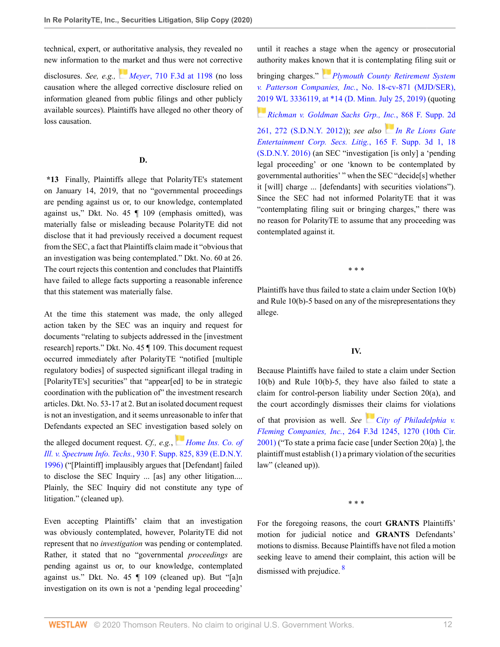technical, expert, or authoritative analysis, they revealed no new information to the market and thus were not corrective

disclosures. *See, e.g., Meyer*[, 710 F.3d at 1198](http://www.westlaw.com/Link/Document/FullText?findType=Y&serNum=2029929383&pubNum=0000506&originatingDoc=Id6e0c9e02e4111ebb8aed9085e1cb667&refType=RP&fi=co_pp_sp_506_1198&originationContext=document&vr=3.0&rs=cblt1.0&transitionType=DocumentItem&contextData=(sc.Search)#co_pp_sp_506_1198) (no loss causation where the alleged corrective disclosure relied on information gleaned from public filings and other publicly available sources). Plaintiffs have alleged no other theory of loss causation.

#### **D.**

**\*13** Finally, Plaintiffs allege that PolarityTE's statement on January 14, 2019, that no "governmental proceedings are pending against us or, to our knowledge, contemplated against us," Dkt. No. 45 ¶ 109 (emphasis omitted), was materially false or misleading because PolarityTE did not disclose that it had previously received a document request from the SEC, a fact that Plaintiffs claim made it "obvious that an investigation was being contemplated." Dkt. No. 60 at 26. The court rejects this contention and concludes that Plaintiffs have failed to allege facts supporting a reasonable inference that this statement was materially false.

At the time this statement was made, the only alleged action taken by the SEC was an inquiry and request for documents "relating to subjects addressed in the [investment research] reports." Dkt. No. 45 ¶ 109. This document request occurred immediately after PolarityTE "notified [multiple regulatory bodies] of suspected significant illegal trading in [PolarityTE's] securities" that "appear[ed] to be in strategic coordination with the publication of" the investment research articles. Dkt. No. 53-17 at 2. But an isolated document request is not an investigation, and it seems unreasonable to infer that Defendants expected an SEC investiga[tion](https://1.next.westlaw.com/Link/RelatedInformation/Flag?documentGuid=Idee30ff8565211d997e0acd5cbb90d3f&transitionType=InlineKeyCiteFlags&originationContext=docHeaderFlag&Rank=0&contextData=(sc.Search) ) based solely on

the alleged document request. *Cf., e.g.*, *[Home Ins. Co. of](http://www.westlaw.com/Link/Document/FullText?findType=Y&serNum=1996163770&pubNum=0000345&originatingDoc=Id6e0c9e02e4111ebb8aed9085e1cb667&refType=RP&fi=co_pp_sp_345_839&originationContext=document&vr=3.0&rs=cblt1.0&transitionType=DocumentItem&contextData=(sc.Search)#co_pp_sp_345_839) Ill. v. Spectrum Info. Techs.*[, 930 F. Supp. 825, 839 \(E.D.N.Y.](http://www.westlaw.com/Link/Document/FullText?findType=Y&serNum=1996163770&pubNum=0000345&originatingDoc=Id6e0c9e02e4111ebb8aed9085e1cb667&refType=RP&fi=co_pp_sp_345_839&originationContext=document&vr=3.0&rs=cblt1.0&transitionType=DocumentItem&contextData=(sc.Search)#co_pp_sp_345_839) [1996\)](http://www.westlaw.com/Link/Document/FullText?findType=Y&serNum=1996163770&pubNum=0000345&originatingDoc=Id6e0c9e02e4111ebb8aed9085e1cb667&refType=RP&fi=co_pp_sp_345_839&originationContext=document&vr=3.0&rs=cblt1.0&transitionType=DocumentItem&contextData=(sc.Search)#co_pp_sp_345_839) ("[Plaintiff] implausibly argues that [Defendant] failed to disclose the SEC Inquiry ... [as] any other litigation.... Plainly, the SEC Inquiry did not constitute any type of litigation." (cleaned up).

Even accepting Plaintiffs' claim that an investigation was obviously contemplated, however, PolarityTE did not represent that no *investigation* was pending or contemplated. Rather, it stated that no "governmental *proceedings* are pending against us or, to our knowledge, contemplated against us." Dkt. No. 45 ¶ 109 (cleaned up). But "[a]n investigation on its own is not a 'pending legal proceeding'

until it reaches a stage when the agency or prosecutorial authority makes kn[own](https://1.next.westlaw.com/Link/RelatedInformation/Flag?documentGuid=I20f866c0af5211e9ba33b03ae9101fb2&transitionType=InlineKeyCiteFlags&originationContext=docHeaderFlag&Rank=0&contextData=(sc.Search) ) that it is contemplating filing suit or

bringing charges." *[Plymouth County Retirement System](http://www.westlaw.com/Link/Document/FullText?findType=Y&serNum=2048757263&pubNum=0000999&originatingDoc=Id6e0c9e02e4111ebb8aed9085e1cb667&refType=RP&originationContext=document&vr=3.0&rs=cblt1.0&transitionType=DocumentItem&contextData=(sc.Search)) v. Patterson Companies, Inc.*[, No. 18-cv-871 \(MJD/SER\),](http://www.westlaw.com/Link/Document/FullText?findType=Y&serNum=2048757263&pubNum=0000999&originatingDoc=Id6e0c9e02e4111ebb8aed9085e1cb667&refType=RP&originationContext=document&vr=3.0&rs=cblt1.0&transitionType=DocumentItem&contextData=(sc.Search)) [2019 WL 3336119, at \\*14 \(D. Minn. July 25, 2019\)](http://www.westlaw.com/Link/Document/FullText?findType=Y&serNum=2048757263&pubNum=0000999&originatingDoc=Id6e0c9e02e4111ebb8aed9085e1cb667&refType=RP&originationContext=document&vr=3.0&rs=cblt1.0&transitionType=DocumentItem&contextData=(sc.Search)) (quoting *[Richman v. Goldman Sachs Grp., Inc.](http://www.westlaw.com/Link/Document/FullText?findType=Y&serNum=2027960620&pubNum=0004637&originatingDoc=Id6e0c9e02e4111ebb8aed9085e1cb667&refType=RP&fi=co_pp_sp_4637_272&originationContext=document&vr=3.0&rs=cblt1.0&transitionType=DocumentItem&contextData=(sc.Search)#co_pp_sp_4637_272)*, 868 F. Supp. 2d [261, 272 \(S.D.N.Y. 2012\)](http://www.westlaw.com/Link/Document/FullText?findType=Y&serNum=2027960620&pubNum=0004637&originatingDoc=Id6e0c9e02e4111ebb8aed9085e1cb667&refType=RP&fi=co_pp_sp_4637_272&originationContext=document&vr=3.0&rs=cblt1.0&transitionType=DocumentItem&contextData=(sc.Search)#co_pp_sp_4637_272)); *see also [In Re Lions Gate](http://www.westlaw.com/Link/Document/FullText?findType=Y&serNum=2038155091&pubNum=0007903&originatingDoc=Id6e0c9e02e4111ebb8aed9085e1cb667&refType=RP&fi=co_pp_sp_7903_18&originationContext=document&vr=3.0&rs=cblt1.0&transitionType=DocumentItem&contextData=(sc.Search)#co_pp_sp_7903_18) [Entertainment Corp. Secs. Litig.](http://www.westlaw.com/Link/Document/FullText?findType=Y&serNum=2038155091&pubNum=0007903&originatingDoc=Id6e0c9e02e4111ebb8aed9085e1cb667&refType=RP&fi=co_pp_sp_7903_18&originationContext=document&vr=3.0&rs=cblt1.0&transitionType=DocumentItem&contextData=(sc.Search)#co_pp_sp_7903_18)*, 165 F. Supp. 3d 1, 18 [\(S.D.N.Y. 2016\)](http://www.westlaw.com/Link/Document/FullText?findType=Y&serNum=2038155091&pubNum=0007903&originatingDoc=Id6e0c9e02e4111ebb8aed9085e1cb667&refType=RP&fi=co_pp_sp_7903_18&originationContext=document&vr=3.0&rs=cblt1.0&transitionType=DocumentItem&contextData=(sc.Search)#co_pp_sp_7903_18) (an SEC "investigation [is only] a 'pending legal proceeding' or one 'known to be contemplated by governmental authorities' " when the SEC "decide[s] whether it [will] charge ... [defendants] with securities violations"). Since the SEC had not informed PolarityTE that it was "contemplating filing suit or bringing charges," there was no reason for PolarityTE to assume that any proceeding was contemplated against it.

\* \* \*

Plaintiffs have thus failed to state a claim under Section 10(b) and Rule 10(b)-5 based on any of the misrepresentations they allege.

#### **IV.**

Because Plaintiffs have failed to state a claim under Section 10(b) and Rule 10(b)-5, they have also failed to state a claim for control-person liability under Section 20(a), and the court accordingly dismisses their claims for violations

of that provision as well. *See [City of Philadelphia v.](http://www.westlaw.com/Link/Document/FullText?findType=Y&serNum=2001764868&pubNum=0000506&originatingDoc=Id6e0c9e02e4111ebb8aed9085e1cb667&refType=RP&fi=co_pp_sp_506_1270&originationContext=document&vr=3.0&rs=cblt1.0&transitionType=DocumentItem&contextData=(sc.Search)#co_pp_sp_506_1270) Fleming Companies, Inc.*[, 264 F.3d 1245, 1270 \(10th Cir.](http://www.westlaw.com/Link/Document/FullText?findType=Y&serNum=2001764868&pubNum=0000506&originatingDoc=Id6e0c9e02e4111ebb8aed9085e1cb667&refType=RP&fi=co_pp_sp_506_1270&originationContext=document&vr=3.0&rs=cblt1.0&transitionType=DocumentItem&contextData=(sc.Search)#co_pp_sp_506_1270) [2001\)](http://www.westlaw.com/Link/Document/FullText?findType=Y&serNum=2001764868&pubNum=0000506&originatingDoc=Id6e0c9e02e4111ebb8aed9085e1cb667&refType=RP&fi=co_pp_sp_506_1270&originationContext=document&vr=3.0&rs=cblt1.0&transitionType=DocumentItem&contextData=(sc.Search)#co_pp_sp_506_1270) ("To state a prima facie case [under Section 20(a) ], the plaintiff must establish (1) a primary violation of the securities law" (cleaned up)).

<span id="page-11-0"></span>\* \* \*

For the foregoing reasons, the court **GRANTS** Plaintiffs' motion for judicial notice and **GRANTS** Defendants' motions to dismiss. Because Plaintiffs have not filed a motion seeking leave to amend their complaint, this action will be dismissed with prejudice. <sup>[8](#page-12-0)</sup>